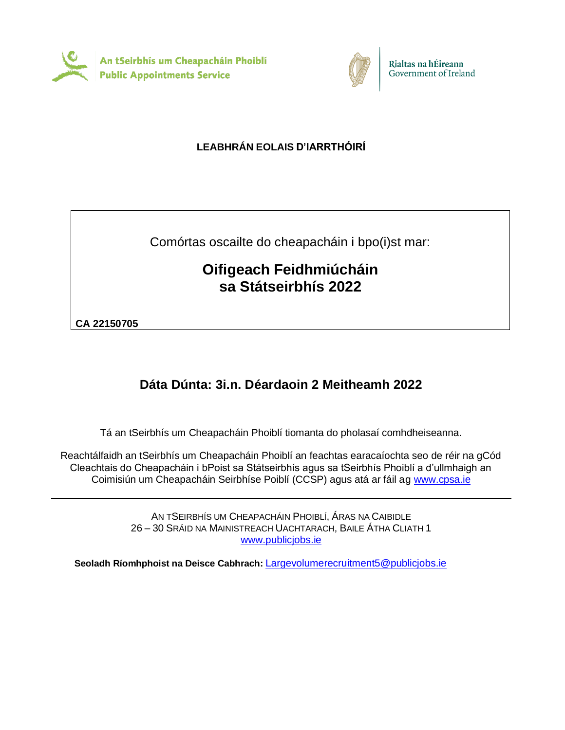



# **LEABHRÁN EOLAIS D'IARRTHÓIRÍ**

Comórtas oscailte do cheapacháin i bpo(i)st mar:

# **Oifigeach Feidhmiúcháin sa Státseirbhís 2022**

**CA 22150705**

# **Dáta Dúnta: 3i.n. Déardaoin 2 Meitheamh 2022**

Tá an tSeirbhís um Cheapacháin Phoiblí tiomanta do pholasaí comhdheiseanna.

Reachtálfaidh an tSeirbhís um Cheapacháin Phoiblí an feachtas earacaíochta seo de réir na gCód Cleachtais do Cheapacháin i bPoist sa Státseirbhís agus sa tSeirbhís Phoiblí a d'ullmhaigh an Coimisiún um Cheapacháin Seirbhíse Poiblí (CCSP) agus atá ar fáil ag [www.cpsa.ie](http://www.cpsa-online.ie/)

> AN TSEIRBHÍS UM CHEAPACHÁIN PHOIBLÍ, ÁRAS NA CAIBIDLE 26 – 30 SRÁID NA MAINISTREACH UACHTARACH, BAILE ÁTHA CLIATH 1 [www.publicjobs.ie](http://www.publicjobs.ie/)

**Seoladh Ríomhphoist na Deisce Cabhrach:** [Largevolumerecruitment5@publicjobs.ie](mailto:Largevolumerecruitment5@publicjobs.ie)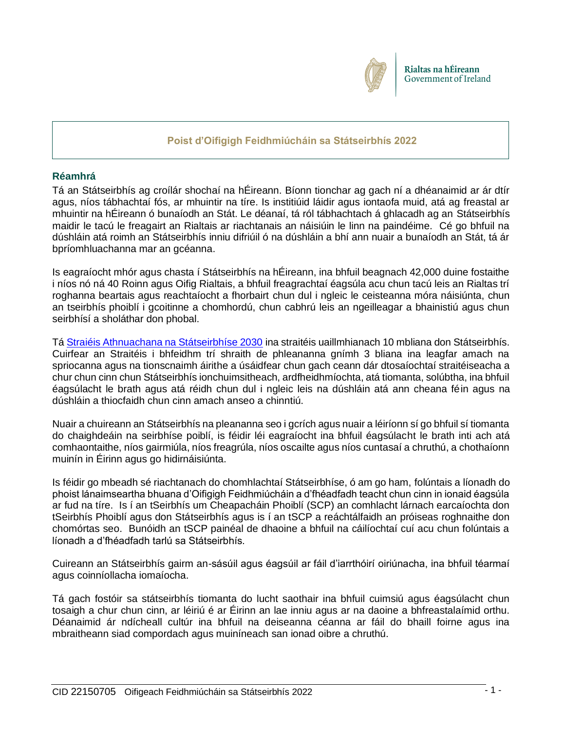

# **Poist d'Oifigigh Feidhmiúcháin sa Státseirbhís 2022**

# **Réamhrá**

Tá an Státseirbhís ag croílár shochaí na hÉireann. Bíonn tionchar ag gach ní a dhéanaimid ar ár dtír agus, níos tábhachtaí fós, ar mhuintir na tíre. Is institiúid láidir agus iontaofa muid, atá ag freastal ar mhuintir na hÉireann ó bunaíodh an Stát. Le déanaí, tá ról tábhachtach á ghlacadh ag an Státseirbhís maidir le tacú le freagairt an Rialtais ar riachtanais an náisiúin le linn na paindéime. Cé go bhfuil na dúshláin atá roimh an Státseirbhís inniu difriúil ó na dúshláin a bhí ann nuair a bunaíodh an Stát, tá ár bpríomhluachanna mar an gcéanna.

Is eagraíocht mhór agus chasta í Státseirbhís na hÉireann, ina bhfuil beagnach 42,000 duine fostaithe i níos nó ná 40 Roinn agus Oifig Rialtais, a bhfuil freagrachtaí éagsúla acu chun tacú leis an Rialtas trí roghanna beartais agus reachtaíocht a fhorbairt chun dul i ngleic le ceisteanna móra náisiúnta, chun an tseirbhís phoiblí i gcoitinne a chomhordú, chun cabhrú leis an ngeilleagar a bhainistiú agus chun seirbhísí a sholáthar don phobal.

Tá [Straiéis Athnuachana na Státseirbhíse 2030](https://www.gov.ie/en/publication/efd7f-civil-service-renewal-2030/) ina straitéis uaillmhianach 10 mbliana don Státseirbhís. Cuirfear an Straitéis i bhfeidhm trí shraith de phleananna gnímh 3 bliana ina leagfar amach na spriocanna agus na tionscnaimh áirithe a úsáidfear chun gach ceann dár dtosaíochtaí straitéiseacha a chur chun cinn chun Státseirbhís ionchuimsitheach, ardfheidhmíochta, atá tiomanta, solúbtha, ina bhfuil éagsúlacht le brath agus atá réidh chun dul i ngleic leis na dúshláin atá ann cheana féin agus na dúshláin a thiocfaidh chun cinn amach anseo a chinntiú.

Nuair a chuireann an Státseirbhís na pleananna seo i gcrích agus nuair a léiríonn sí go bhfuil sí tiomanta do chaighdeáin na seirbhíse poiblí, is féidir léi eagraíocht ina bhfuil éagsúlacht le brath inti ach atá comhaontaithe, níos gairmiúla, níos freagrúla, níos oscailte agus níos cuntasaí a chruthú, a chothaíonn muinín in Éirinn agus go hidirnáisiúnta.

Is féidir go mbeadh sé riachtanach do chomhlachtaí Státseirbhíse, ó am go ham, folúntais a líonadh do phoist lánaimseartha bhuana d'Oifigigh Feidhmiúcháin a d'fhéadfadh teacht chun cinn in ionaid éagsúla ar fud na tíre.Is í an tSeirbhís um Cheapacháin Phoiblí (SCP) an comhlacht lárnach earcaíochta don tSeirbhís Phoiblí agus don Státseirbhís agus is í an tSCP a reáchtálfaidh an próiseas roghnaithe don chomórtas seo. Bunóidh an tSCP painéal de dhaoine a bhfuil na cáilíochtaí cuí acu chun folúntais a líonadh a d'fhéadfadh tarlú sa Státseirbhís.

Cuireann an Státseirbhís gairm an-sásúil agus éagsúil ar fáil d'iarrthóirí oiriúnacha, ina bhfuil téarmaí agus coinníollacha iomaíocha.

Tá gach fostóir sa státseirbhís tiomanta do lucht saothair ina bhfuil cuimsiú agus éagsúlacht chun tosaigh a chur chun cinn, ar léiriú é ar Éirinn an lae inniu agus ar na daoine a bhfreastalaímid orthu. Déanaimid ár ndícheall cultúr ina bhfuil na deiseanna céanna ar fáil do bhaill foirne agus ina mbraitheann siad compordach agus muiníneach san ionad oibre a chruthú.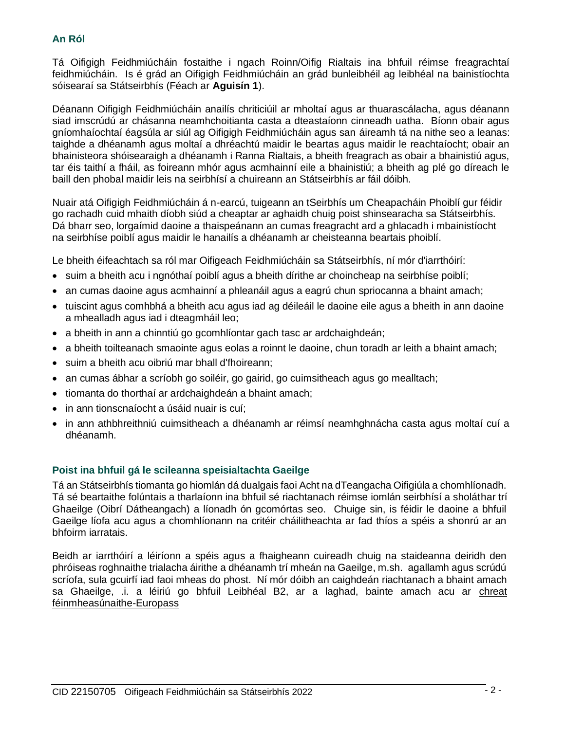# **An Ról**

Tá Oifigigh Feidhmiúcháin fostaithe i ngach Roinn/Oifig Rialtais ina bhfuil réimse freagrachtaí feidhmiúcháin. Is é grád an Oifigigh Feidhmiúcháin an grád bunleibhéil ag leibhéal na bainistíochta sóisearaí sa Státseirbhís (Féach ar **Aguisín 1**).

Déanann Oifigigh Feidhmiúcháin anailís chriticiúil ar mholtaí agus ar thuarascálacha, agus déanann siad imscrúdú ar chásanna neamhchoitianta casta a dteastaíonn cinneadh uatha. Bíonn obair agus gníomhaíochtaí éagsúla ar siúl ag Oifigigh Feidhmiúcháin agus san áireamh tá na nithe seo a leanas: taighde a dhéanamh agus moltaí a dhréachtú maidir le beartas agus maidir le reachtaíocht; obair an bhainisteora shóisearaigh a dhéanamh i Ranna Rialtais, a bheith freagrach as obair a bhainistiú agus, tar éis taithí a fháil, as foireann mhór agus acmhainní eile a bhainistiú; a bheith ag plé go díreach le baill den phobal maidir leis na seirbhísí a chuireann an Státseirbhís ar fáil dóibh.

Nuair atá Oifigigh Feidhmiúcháin á n-earcú, tuigeann an tSeirbhís um Cheapacháin Phoiblí gur féidir go rachadh cuid mhaith díobh siúd a cheaptar ar aghaidh chuig poist shinsearacha sa Státseirbhís. Dá bharr seo, lorgaímid daoine a thaispeánann an cumas freagracht ard a ghlacadh i mbainistíocht na seirbhíse poiblí agus maidir le hanailís a dhéanamh ar cheisteanna beartais phoiblí.

Le bheith éifeachtach sa ról mar Oifigeach Feidhmiúcháin sa Státseirbhís, ní mór d'iarrthóirí:

- suim a bheith acu i ngnóthaí poiblí agus a bheith dírithe ar choincheap na seirbhíse poiblí;
- an cumas daoine agus acmhainní a phleanáil agus a eagrú chun spriocanna a bhaint amach;
- tuiscint agus comhbhá a bheith acu agus iad ag déileáil le daoine eile agus a bheith in ann daoine a mhealladh agus iad i dteagmháil leo;
- a bheith in ann a chinntiú go gcomhlíontar gach tasc ar ardchaighdeán;
- a bheith toilteanach smaointe agus eolas a roinnt le daoine, chun toradh ar leith a bhaint amach;
- suim a bheith acu oibriú mar bhall d'fhoireann;
- an cumas ábhar a scríobh go soiléir, go gairid, go cuimsitheach agus go mealltach;
- tiomanta do thorthaí ar ardchaighdeán a bhaint amach;
- in ann tionscnaíocht a úsáid nuair is cuí;
- in ann athbhreithniú cuimsitheach a dhéanamh ar réimsí neamhghnácha casta agus moltaí cuí a dhéanamh.

# **Poist ina bhfuil gá le scileanna speisialtachta Gaeilge**

Tá an Státseirbhís tiomanta go hiomlán dá dualgais faoi Acht na dTeangacha Oifigiúla a chomhlíonadh. Tá sé beartaithe folúntais a tharlaíonn ina bhfuil sé riachtanach réimse iomlán seirbhísí a sholáthar trí Ghaeilge (Oibrí Dátheangach) a líonadh ón gcomórtas seo. Chuige sin, is féidir le daoine a bhfuil Gaeilge líofa acu agus a chomhlíonann na critéir cháilitheachta ar fad thíos a spéis a shonrú ar an bhfoirm iarratais.

Beidh ar iarrthóirí a léiríonn a spéis agus a fhaigheann cuireadh chuig na staideanna deiridh den phróiseas roghnaithe trialacha áirithe a dhéanamh trí mheán na Gaeilge, m.sh. agallamh agus scrúdú scríofa, sula gcuirfí iad faoi mheas do phost. Ní mór dóibh an caighdeán riachtanach a bhaint amach sa Ghaeilge, .i. a léiriú go bhfuil Leibhéal B2, ar a laghad, bainte amach acu ar [chreat](http://www.publicjobs.ie/publicjobs/publication/document/Self_Assessment_Framework.pdf)  [féinmheasúnaithe-Europass](http://www.publicjobs.ie/publicjobs/publication/document/Self_Assessment_Framework.pdf)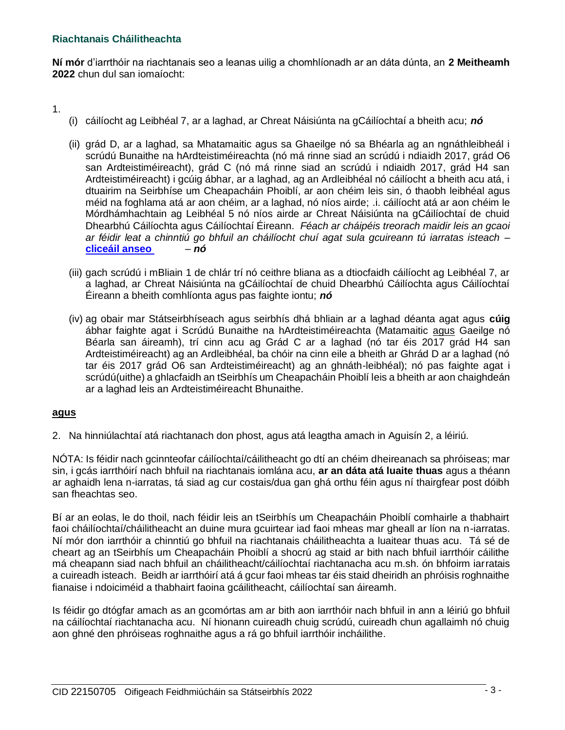# **Riachtanais Cháilitheachta**

**Ní mór** d'iarrthóir na riachtanais seo a leanas uilig a chomhlíonadh ar an dáta dúnta, an **2 Meitheamh 2022** chun dul san iomaíocht:

1.

- (i) cáilíocht ag Leibhéal 7, ar a laghad, ar Chreat Náisiúnta na gCáilíochtaí a bheith acu; *nó*
- (ii) grád D, ar a laghad, sa Mhatamaitic agus sa Ghaeilge nó sa Bhéarla ag an ngnáthleibheál i scrúdú Bunaithe na hArdteistiméireachta (nó má rinne siad an scrúdú i ndiaidh 2017, grád O6 san Ardteistiméireacht), grád C (nó má rinne siad an scrúdú i ndiaidh 2017, grád H4 san Ardteistiméireacht) i gcúig ábhar, ar a laghad, ag an Ardleibhéal nó cáilíocht a bheith acu atá, i dtuairim na Seirbhíse um Cheapacháin Phoiblí, ar aon chéim leis sin, ó thaobh leibhéal agus méid na foghlama atá ar aon chéim, ar a laghad, nó níos airde; .i. cáilíocht atá ar aon chéim le Mórdhámhachtain ag Leibhéal 5 nó níos airde ar Chreat Náisiúnta na gCáilíochtaí de chuid Dhearbhú Cáilíochta agus Cáilíochtaí Éireann. *Féach ar cháipéis treorach maidir leis an gcaoi ar féidir leat a chinntiú go bhfuil an cháilíocht chuí agat sula gcuireann tú iarratas isteach* – **[cliceáil anseo](https://www.publicjobs.ie/restapi/documents/Qualifications_Guidelines_Irish.pdf)** – *nó*
- (iii) gach scrúdú i mBliain 1 de chlár trí nó ceithre bliana as a dtiocfaidh cáilíocht ag Leibhéal 7, ar a laghad, ar Chreat Náisiúnta na gCáilíochtaí de chuid Dhearbhú Cáilíochta agus Cáilíochtaí Éireann a bheith comhlíonta agus pas faighte iontu; *nó*
- (iv) ag obair mar Státseirbhíseach agus seirbhís dhá bhliain ar a laghad déanta agat agus **cúig** ábhar faighte agat i Scrúdú Bunaithe na hArdteistiméireachta (Matamaitic agus Gaeilge nó Béarla san áireamh), trí cinn acu ag Grád C ar a laghad (nó tar éis 2017 grád H4 san Ardteistiméireacht) ag an Ardleibhéal, ba chóir na cinn eile a bheith ar Ghrád D ar a laghad (nó tar éis 2017 grád O6 san Ardteistiméireacht) ag an ghnáth-leibhéal); nó pas faighte agat i scrúdú(uithe) a ghlacfaidh an tSeirbhís um Cheapacháin Phoiblí leis a bheith ar aon chaighdeán ar a laghad leis an Ardteistiméireacht Bhunaithe.

# **agus**

2. Na hinniúlachtaí atá riachtanach don phost, agus atá leagtha amach in Aguisín 2, a léiriú.

NÓTA: Is féidir nach gcinnteofar cáilíochtaí/cáilitheacht go dtí an chéim dheireanach sa phróiseas; mar sin, i gcás iarrthóirí nach bhfuil na riachtanais iomlána acu, **ar an dáta atá luaite thuas** agus a théann ar aghaidh lena n-iarratas, tá siad ag cur costais/dua gan ghá orthu féin agus ní thairgfear post dóibh san fheachtas seo.

Bí ar an eolas, le do thoil, nach féidir leis an tSeirbhís um Cheapacháin Phoiblí comhairle a thabhairt faoi cháilíochtaí/cháilitheacht an duine mura gcuirtear iad faoi mheas mar gheall ar líon na n-iarratas. Ní mór don iarrthóir a chinntiú go bhfuil na riachtanais cháilitheachta a luaitear thuas acu. Tá sé de cheart ag an tSeirbhís um Cheapacháin Phoiblí a shocrú ag staid ar bith nach bhfuil iarrthóir cáilithe má cheapann siad nach bhfuil an cháilitheacht/cáilíochtaí riachtanacha acu m.sh. ón bhfoirm iarratais a cuireadh isteach. Beidh ar iarrthóirí atá á gcur faoi mheas tar éis staid dheiridh an phróisis roghnaithe fianaise i ndoiciméid a thabhairt faoina gcáilitheacht, cáilíochtaí san áireamh.

Is féidir go dtógfar amach as an gcomórtas am ar bith aon iarrthóir nach bhfuil in ann a léiriú go bhfuil na cáilíochtaí riachtanacha acu. Ní hionann cuireadh chuig scrúdú, cuireadh chun agallaimh nó chuig aon ghné den phróiseas roghnaithe agus a rá go bhfuil iarrthóir incháilithe.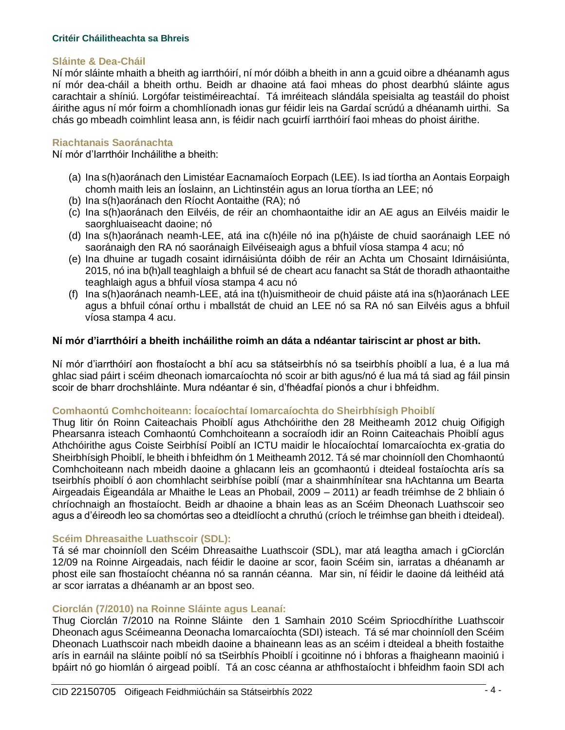#### **Critéir Cháilitheachta sa Bhreis**

#### **Sláinte & Dea-Cháil**

Ní mór sláinte mhaith a bheith ag iarrthóirí, ní mór dóibh a bheith in ann a gcuid oibre a dhéanamh agus ní mór dea-cháil a bheith orthu. Beidh ar dhaoine atá faoi mheas do phost dearbhú sláinte agus carachtair a shíniú. Lorgófar teistiméireachtaí. Tá imréiteach slándála speisialta ag teastáil do phoist áirithe agus ní mór foirm a chomhlíonadh ionas gur féidir leis na Gardaí scrúdú a dhéanamh uirthi. Sa chás go mbeadh coimhlint leasa ann, is féidir nach gcuirfí iarrthóirí faoi mheas do phoist áirithe.

#### **Riachtanais Saoránachta**

Ní mór d'Iarrthóir Incháilithe a bheith:

- (a) Ina s(h)aoránach den Limistéar Eacnamaíoch Eorpach (LEE). Is iad tíortha an Aontais Eorpaigh chomh maith leis an Íoslainn, an Lichtinstéin agus an Iorua tíortha an LEE; nó
- (b) Ina s(h)aoránach den Ríocht Aontaithe (RA); nó
- (c) Ina s(h)aoránach den Eilvéis, de réir an chomhaontaithe idir an AE agus an Eilvéis maidir le saorghluaiseacht daoine; nó
- (d) Ina s(h)aoránach neamh-LEE, atá ina c(h)éile nó ina p(h)áiste de chuid saoránaigh LEE nó saoránaigh den RA nó saoránaigh Eilvéiseaigh agus a bhfuil víosa stampa 4 acu; nó
- (e) Ina dhuine ar tugadh cosaint idirnáisiúnta dóibh de réir an Achta um Chosaint Idirnáisiúnta, 2015, nó ina b(h)all teaghlaigh a bhfuil sé de cheart acu fanacht sa Stát de thoradh athaontaithe teaghlaigh agus a bhfuil víosa stampa 4 acu nó
- (f) Ina s(h)aoránach neamh-LEE, atá ina t(h)uismitheoir de chuid páiste atá ina s(h)aoránach LEE agus a bhfuil cónaí orthu i mballstát de chuid an LEE nó sa RA nó san Eilvéis agus a bhfuil víosa stampa 4 acu.

#### **Ní mór d'iarrthóirí a bheith incháilithe roimh an dáta a ndéantar tairiscint ar phost ar bith.**

Ní mór d'iarrthóirí aon fhostaíocht a bhí acu sa státseirbhís nó sa tseirbhís phoiblí a lua, é a lua má ghlac siad páirt i scéim dheonach iomarcaíochta nó scoir ar bith agus/nó é lua má tá siad ag fáil pinsin scoir de bharr drochshláinte. Mura ndéantar é sin, d'fhéadfaí pionós a chur i bhfeidhm.

### **Comhaontú Comhchoiteann: Íocaíochtaí Iomarcaíochta do Sheirbhísigh Phoiblí**

Thug litir ón Roinn Caiteachais Phoiblí agus Athchóirithe den 28 Meitheamh 2012 chuig Oifigigh Phearsanra isteach Comhaontú Comhchoiteann a socraíodh idir an Roinn Caiteachais Phoiblí agus Athchóirithe agus Coiste Seirbhísí Poiblí an ICTU maidir le hÍocaíochtaí Iomarcaíochta ex-gratia do Sheirbhísigh Phoiblí, le bheith i bhfeidhm ón 1 Meitheamh 2012. Tá sé mar choinníoll den Chomhaontú Comhchoiteann nach mbeidh daoine a ghlacann leis an gcomhaontú i dteideal fostaíochta arís sa tseirbhís phoiblí ó aon chomhlacht seirbhíse poiblí (mar a shainmhínítear sna hAchtanna um Bearta Airgeadais Éigeandála ar Mhaithe le Leas an Phobail, 2009 – 2011) ar feadh tréimhse de 2 bhliain ó chríochnaigh an fhostaíocht. Beidh ar dhaoine a bhain leas as an Scéim Dheonach Luathscoir seo agus a d'éireodh leo sa chomórtas seo a dteidlíocht a chruthú (críoch le tréimhse gan bheith i dteideal).

#### **Scéim Dhreasaithe Luathscoir (SDL):**

Tá sé mar choinníoll den Scéim Dhreasaithe Luathscoir (SDL), mar atá leagtha amach i gCiorclán 12/09 na Roinne Airgeadais, nach féidir le daoine ar scor, faoin Scéim sin, iarratas a dhéanamh ar phost eile san fhostaíocht chéanna nó sa rannán céanna. Mar sin, ní féidir le daoine dá leithéid atá ar scor iarratas a dhéanamh ar an bpost seo.

#### **Ciorclán (7/2010) na Roinne Sláinte agus Leanaí:**

Thug Ciorclán 7/2010 na Roinne Sláinte den 1 Samhain 2010 Scéim Spriocdhírithe Luathscoir Dheonach agus Scéimeanna Deonacha Iomarcaíochta (SDI) isteach. Tá sé mar choinníoll den Scéim Dheonach Luathscoir nach mbeidh daoine a bhaineann leas as an scéim i dteideal a bheith fostaithe arís in earnáil na sláinte poiblí nó sa tSeirbhís Phoiblí i gcoitinne nó i bhforas a fhaigheann maoiniú i bpáirt nó go hiomlán ó airgead poiblí. Tá an cosc céanna ar athfhostaíocht i bhfeidhm faoin SDI ach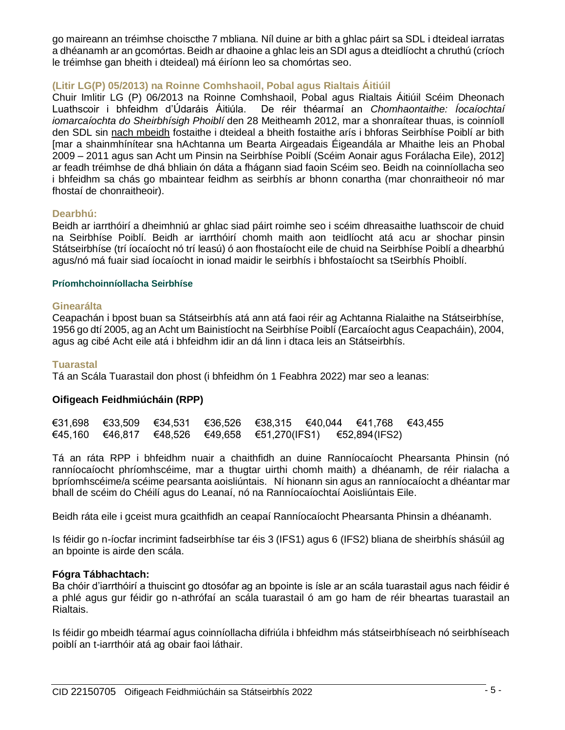go maireann an tréimhse choiscthe 7 mbliana. Níl duine ar bith a ghlac páirt sa SDL i dteideal iarratas a dhéanamh ar an gcomórtas. Beidh ar dhaoine a ghlac leis an SDI agus a dteidlíocht a chruthú (críoch le tréimhse gan bheith i dteideal) má éiríonn leo sa chomórtas seo.

# **(Litir LG(P) 05/2013) na Roinne Comhshaoil, Pobal agus Rialtais Áitiúil**

Chuir Imlitir LG (P) 06/2013 na Roinne Comhshaoil, Pobal agus Rialtais Áitiúil Scéim Dheonach Luathscoir i bhfeidhm d'Údaráis Áitiúla. De réir théarmaí an *Chomhaontaithe: Íocaíochtaí iomarcaíochta do Sheirbhísigh Phoiblí* den 28 Meitheamh 2012, mar a shonraítear thuas, is coinníoll den SDL sin nach mbeidh fostaithe i dteideal a bheith fostaithe arís i bhforas Seirbhíse Poiblí ar bith [mar a shainmhínítear sna hAchtanna um Bearta Airgeadais Éigeandála ar Mhaithe leis an Phobal 2009 – 2011 agus san Acht um Pinsin na Seirbhíse Poiblí (Scéim Aonair agus Forálacha Eile), 2012] ar feadh tréimhse de dhá bhliain ón dáta a fhágann siad faoin Scéim seo. Beidh na coinníollacha seo i bhfeidhm sa chás go mbaintear feidhm as seirbhís ar bhonn conartha (mar chonraitheoir nó mar fhostaí de chonraitheoir).

# **Dearbhú:**

Beidh ar iarrthóirí a dheimhniú ar ghlac siad páirt roimhe seo i scéim dhreasaithe luathscoir de chuid na Seirbhíse Poiblí. Beidh ar iarrthóirí chomh maith aon teidlíocht atá acu ar shochar pinsin Státseirbhíse (trí íocaíocht nó trí leasú) ó aon fhostaíocht eile de chuid na Seirbhíse Poiblí a dhearbhú agus/nó má fuair siad íocaíocht in ionad maidir le seirbhís i bhfostaíocht sa tSeirbhís Phoiblí.

#### **Príomhchoinníollacha Seirbhíse**

#### **Ginearálta**

Ceapachán i bpost buan sa Státseirbhís atá ann atá faoi réir ag Achtanna Rialaithe na Státseirbhíse, 1956 go dtí 2005, ag an Acht um Bainistíocht na Seirbhíse Poiblí (Earcaíocht agus Ceapacháin), 2004, agus ag cibé Acht eile atá i bhfeidhm idir an dá linn i dtaca leis an Státseirbhís.

### **Tuarastal**

Tá an Scála Tuarastail don phost (i bhfeidhm ón 1 Feabhra 2022) mar seo a leanas:

# **Oifigeach Feidhmiúcháin (RPP)**

|  |  |  | $€31,698$ $€33,509$ $€34,531$ $€36,526$ $€38,315$ $€40,044$ $€41,768$ $€43,455$ |  |
|--|--|--|---------------------------------------------------------------------------------|--|
|  |  |  | €45,160 €46,817 €48,526 €49,658 €51,270(IFS1) €52,894(IFS2)                     |  |

Tá an ráta RPP i bhfeidhm nuair a chaithfidh an duine Ranníocaíocht Phearsanta Phinsin (nó ranníocaíocht phríomhscéime, mar a thugtar uirthi chomh maith) a dhéanamh, de réir rialacha a bpríomhscéime/a scéime pearsanta aoisliúntais. Ní hionann sin agus an ranníocaíocht a dhéantar mar bhall de scéim do Chéilí agus do Leanaí, nó na Ranníocaíochtaí Aoisliúntais Eile.

Beidh ráta eile i gceist mura gcaithfidh an ceapaí Ranníocaíocht Phearsanta Phinsin a dhéanamh.

Is féidir go n-íocfar incrimint fadseirbhíse tar éis 3 (IFS1) agus 6 (IFS2) bliana de sheirbhís shásúil ag an bpointe is airde den scála.

# **Fógra Tábhachtach:**

Ba chóir d'iarrthóirí a thuiscint go dtosófar ag an bpointe is ísle ar an scála tuarastail agus nach féidir é a phlé agus gur féidir go n-athrófaí an scála tuarastail ó am go ham de réir bheartas tuarastail an Rialtais.

Is féidir go mbeidh téarmaí agus coinníollacha difriúla i bhfeidhm más státseirbhíseach nó seirbhíseach poiblí an t-iarrthóir atá ag obair faoi láthair.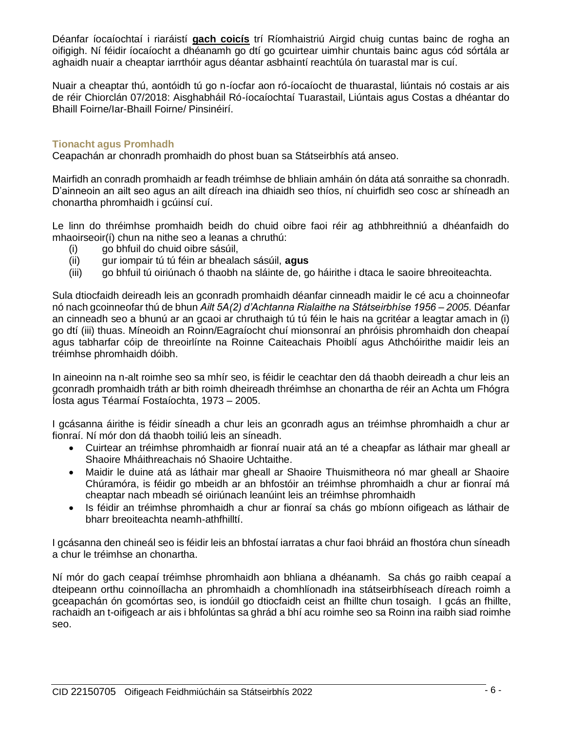Déanfar íocaíochtaí i riaráistí **gach coicís** trí Ríomhaistriú Airgid chuig cuntas bainc de rogha an oifigigh. Ní féidir íocaíocht a dhéanamh go dtí go gcuirtear uimhir chuntais bainc agus cód sórtála ar aghaidh nuair a cheaptar iarrthóir agus déantar asbhaintí reachtúla ón tuarastal mar is cuí.

Nuair a cheaptar thú, aontóidh tú go n-íocfar aon ró-íocaíocht de thuarastal, liúntais nó costais ar ais de réir Chiorclán 07/2018: Aisghabháil Ró-íocaíochtaí Tuarastail, Liúntais agus Costas a dhéantar do Bhaill Foirne/Iar-Bhaill Foirne/ Pinsinéirí.

### **Tionacht agus Promhadh**

Ceapachán ar chonradh promhaidh do phost buan sa Státseirbhís atá anseo.

Mairfidh an conradh promhaidh ar feadh tréimhse de bhliain amháin ón dáta atá sonraithe sa chonradh. D'ainneoin an ailt seo agus an ailt díreach ina dhiaidh seo thíos, ní chuirfidh seo cosc ar shíneadh an chonartha phromhaidh i gcúinsí cuí.

Le linn do thréimhse promhaidh beidh do chuid oibre faoi réir ag athbhreithniú a dhéanfaidh do mhaoirseoir(í) chun na nithe seo a leanas a chruthú:

- (i) go bhfuil do chuid oibre sásúil,
- (ii) gur iompair tú tú féin ar bhealach sásúil, **agus**
- (iii) go bhfuil tú oiriúnach ó thaobh na sláinte de, go háirithe i dtaca le saoire bhreoiteachta.

Sula dtiocfaidh deireadh leis an gconradh promhaidh déanfar cinneadh maidir le cé acu a choinneofar nó nach gcoinneofar thú de bhun *Ailt 5A(2) d'Achtanna Rialaithe na Státseirbhíse 1956 – 2005.* Déanfar an cinneadh seo a bhunú ar an gcaoi ar chruthaigh tú tú féin le hais na gcritéar a leagtar amach in (i) go dtí (iii) thuas. Míneoidh an Roinn/Eagraíocht chuí mionsonraí an phróisis phromhaidh don cheapaí agus tabharfar cóip de threoirlínte na Roinne Caiteachais Phoiblí agus Athchóirithe maidir leis an tréimhse phromhaidh dóibh.

In aineoinn na n-alt roimhe seo sa mhír seo, is féidir le ceachtar den dá thaobh deireadh a chur leis an gconradh promhaidh tráth ar bith roimh dheireadh thréimhse an chonartha de réir an Achta um Fhógra Íosta agus Téarmaí Fostaíochta, 1973 – 2005.

I gcásanna áirithe is féidir síneadh a chur leis an gconradh agus an tréimhse phromhaidh a chur ar fionraí. Ní mór don dá thaobh toiliú leis an síneadh.

- Cuirtear an tréimhse phromhaidh ar fionraí nuair atá an té a cheapfar as láthair mar gheall ar Shaoire Mháithreachais nó Shaoire Uchtaithe.
- Maidir le duine atá as láthair mar gheall ar Shaoire Thuismitheora nó mar gheall ar Shaoire Chúramóra, is féidir go mbeidh ar an bhfostóir an tréimhse phromhaidh a chur ar fionraí má cheaptar nach mbeadh sé oiriúnach leanúint leis an tréimhse phromhaidh
- Is féidir an tréimhse phromhaidh a chur ar fionraí sa chás go mbíonn oifigeach as láthair de bharr breoiteachta neamh-athfhilltí.

I gcásanna den chineál seo is féidir leis an bhfostaí iarratas a chur faoi bhráid an fhostóra chun síneadh a chur le tréimhse an chonartha.

Ní mór do gach ceapaí tréimhse phromhaidh aon bhliana a dhéanamh. Sa chás go raibh ceapaí a dteipeann orthu coinnoíllacha an phromhaidh a chomhlíonadh ina státseirbhíseach díreach roimh a gceapachán ón gcomórtas seo, is iondúil go dtiocfaidh ceist an fhillte chun tosaigh. I gcás an fhillte, rachaidh an t-oifigeach ar ais i bhfolúntas sa ghrád a bhí acu roimhe seo sa Roinn ina raibh siad roimhe seo.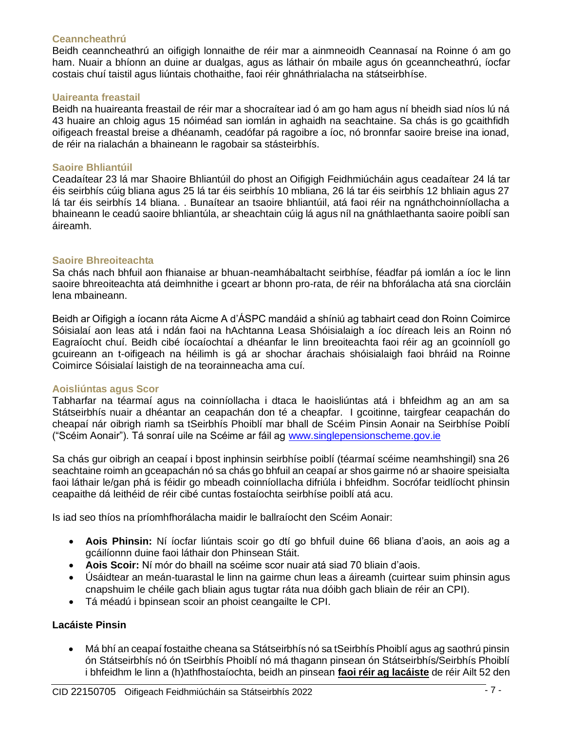### **Ceanncheathrú**

Beidh ceanncheathrú an oifigigh lonnaithe de réir mar a ainmneoidh Ceannasaí na Roinne ó am go ham. Nuair a bhíonn an duine ar dualgas, agus as láthair ón mbaile agus ón gceanncheathrú, íocfar costais chuí taistil agus liúntais chothaithe, faoi réir ghnáthrialacha na státseirbhíse.

#### **Uaireanta freastail**

Beidh na huaireanta freastail de réir mar a shocraítear iad ó am go ham agus ní bheidh siad níos lú ná 43 huaire an chloig agus 15 nóiméad san iomlán in aghaidh na seachtaine. Sa chás is go gcaithfidh oifigeach freastal breise a dhéanamh, ceadófar pá ragoibre a íoc, nó bronnfar saoire breise ina ionad, de réir na rialachán a bhaineann le ragobair sa stásteirbhís.

# **Saoire Bhliantúil**

Ceadaítear 23 lá mar Shaoire Bhliantúil do phost an Oifigigh Feidhmiúcháin agus ceadaítear 24 lá tar éis seirbhís cúig bliana agus 25 lá tar éis seirbhís 10 mbliana, 26 lá tar éis seirbhís 12 bhliain agus 27 lá tar éis seirbhís 14 bliana. . Bunaítear an tsaoire bhliantúil, atá faoi réir na ngnáthchoinníollacha a bhaineann le ceadú saoire bhliantúla, ar sheachtain cúig lá agus níl na gnáthlaethanta saoire poiblí san áireamh.

# **Saoire Bhreoiteachta**

Sa chás nach bhfuil aon fhianaise ar bhuan-neamhábaltacht seirbhíse, féadfar pá iomlán a íoc le linn saoire bhreoiteachta atá deimhnithe i gceart ar bhonn pro-rata, de réir na bhforálacha atá sna ciorcláin lena mbaineann.

Beidh ar Oifigigh a íocann ráta Aicme A d'ÁSPC mandáid a shíniú ag tabhairt cead don Roinn Coimirce Sóisialaí aon leas atá i ndán faoi na hAchtanna Leasa Shóisialaigh a íoc díreach leis an Roinn nó Eagraíocht chuí. Beidh cibé íocaíochtaí a dhéanfar le linn breoiteachta faoi réir ag an gcoinníoll go gcuireann an t-oifigeach na héilimh is gá ar shochar árachais shóisialaigh faoi bhráid na Roinne Coimirce Sóisialaí laistigh de na teorainneacha ama cuí.

# **Aoisliúntas agus Scor**

Tabharfar na téarmaí agus na coinníollacha i dtaca le haoisliúntas atá i bhfeidhm ag an am sa Státseirbhís nuair a dhéantar an ceapachán don té a cheapfar. I gcoitinne, tairgfear ceapachán do cheapaí nár oibrigh riamh sa tSeirbhís Phoiblí mar bhall de Scéim Pinsin Aonair na Seirbhíse Poiblí ("Scéim Aonair"). Tá sonraí uile na Scéime ar fáil ag [www.singlepensionscheme.gov.ie](http://www.singlepensionscheme.gov.ie/)

Sa chás gur oibrigh an ceapaí i bpost inphinsin seirbhíse poiblí (téarmaí scéime neamhshingil) sna 26 seachtaine roimh an gceapachán nó sa chás go bhfuil an ceapaí ar shos gairme nó ar shaoire speisialta faoi láthair le/gan phá is féidir go mbeadh coinníollacha difriúla i bhfeidhm. Socrófar teidlíocht phinsin ceapaithe dá leithéid de réir cibé cuntas fostaíochta seirbhíse poiblí atá acu.

Is iad seo thíos na príomhfhorálacha maidir le ballraíocht den Scéim Aonair:

- **Aois Phinsin:** Ní íocfar liúntais scoir go dtí go bhfuil duine 66 bliana d'aois, an aois ag a gcáilíonnn duine faoi láthair don Phinsean Stáit.
- **Aois Scoir:** Ní mór do bhaill na scéime scor nuair atá siad 70 bliain d'aois.
- Úsáidtear an meán-tuarastal le linn na gairme chun leas a áireamh (cuirtear suim phinsin agus cnapshuim le chéile gach bliain agus tugtar ráta nua dóibh gach bliain de réir an CPI).
- Tá méadú i bpinsean scoir an phoist ceangailte le CPI.

# **Lacáiste Pinsin**

• Má bhí an ceapaí fostaithe cheana sa Státseirbhís nó sa tSeirbhís Phoiblí agus ag saothrú pinsin ón Státseirbhís nó ón tSeirbhís Phoiblí nó má thagann pinsean ón Státseirbhís/Seirbhís Phoiblí i bhfeidhm le linn a (h)athfhostaíochta, beidh an pinsean **faoi réir ag lacáiste** de réir Ailt 52 den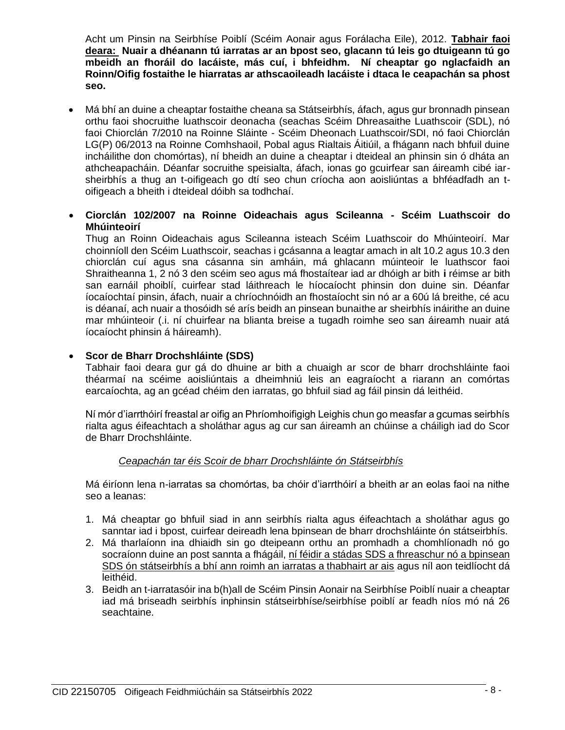Acht um Pinsin na Seirbhíse Poiblí (Scéim Aonair agus Forálacha Eile), 2012. **Tabhair faoi deara: Nuair a dhéanann tú iarratas ar an bpost seo, glacann tú leis go dtuigeann tú go mbeidh an fhoráil do lacáiste, más cuí, i bhfeidhm. Ní cheaptar go nglacfaidh an Roinn/Oifig fostaithe le hiarratas ar athscaoileadh lacáiste i dtaca le ceapachán sa phost seo.**

- Má bhí an duine a cheaptar fostaithe cheana sa Státseirbhís, áfach, agus gur bronnadh pinsean orthu faoi shocruithe luathscoir deonacha (seachas Scéim Dhreasaithe Luathscoir (SDL), nó faoi Chiorclán 7/2010 na Roinne Sláinte - Scéim Dheonach Luathscoir/SDI, nó faoi Chiorclán LG(P) 06/2013 na Roinne Comhshaoil, Pobal agus Rialtais Áitiúil, a fhágann nach bhfuil duine incháilithe don chomórtas), ní bheidh an duine a cheaptar i dteideal an phinsin sin ó dháta an athcheapacháin. Déanfar socruithe speisialta, áfach, ionas go gcuirfear san áireamh cibé iarsheirbhís a thug an t-oifigeach go dtí seo chun críocha aon aoisliúntas a bhféadfadh an toifigeach a bheith i dteideal dóibh sa todhchaí.
- **Ciorclán 102/2007 na Roinne Oideachais agus Scileanna - Scéim Luathscoir do Mhúinteoirí**

Thug an Roinn Oideachais agus Scileanna isteach Scéim Luathscoir do Mhúinteoirí. Mar choinníoll den Scéim Luathscoir, seachas i gcásanna a leagtar amach in alt 10.2 agus 10.3 den chiorclán cuí agus sna cásanna sin amháin, má ghlacann múinteoir le luathscor faoi Shraitheanna 1, 2 nó 3 den scéim seo agus má fhostaítear iad ar dhóigh ar bith **i** réimse ar bith san earnáil phoiblí, cuirfear stad láithreach le híocaíocht phinsin don duine sin. Déanfar íocaíochtaí pinsin, áfach, nuair a chríochnóidh an fhostaíocht sin nó ar a 60ú lá breithe, cé acu is déanaí, ach nuair a thosóidh sé arís beidh an pinsean bunaithe ar sheirbhís ináirithe an duine mar mhúinteoir (.i. ní chuirfear na blianta breise a tugadh roimhe seo san áireamh nuair atá íocaíocht phinsin á háireamh).

# • **Scor de Bharr Drochshláinte (SDS)**

Tabhair faoi deara gur gá do dhuine ar bith a chuaigh ar scor de bharr drochshláinte faoi théarmaí na scéime aoisliúntais a dheimhniú leis an eagraíocht a riarann an comórtas earcaíochta, ag an gcéad chéim den iarratas, go bhfuil siad ag fáil pinsin dá leithéid.

Ní mór d'iarrthóirí freastal ar oifig an Phríomhoifigigh Leighis chun go measfar a gcumas seirbhís rialta agus éifeachtach a sholáthar agus ag cur san áireamh an chúinse a cháiligh iad do Scor de Bharr Drochshláinte.

# *Ceapachán tar éis Scoir de bharr Drochshláinte ón Státseirbhís*

Má éiríonn lena n-iarratas sa chomórtas, ba chóir d'iarrthóirí a bheith ar an eolas faoi na nithe seo a leanas:

- 1. Má cheaptar go bhfuil siad in ann seirbhís rialta agus éifeachtach a sholáthar agus go sanntar iad i bpost, cuirfear deireadh lena bpinsean de bharr drochshláinte ón státseirbhís.
- 2. Má tharlaíonn ina dhiaidh sin go dteipeann orthu an promhadh a chomhlíonadh nó go socraíonn duine an post sannta a fhágáil, ní féidir a stádas SDS a fhreaschur nó a bpinsean SDS ón státseirbhís a bhí ann roimh an iarratas a thabhairt ar ais agus níl aon teidlíocht dá leithéid.
- 3. Beidh an t-iarratasóir ina b(h)all de Scéim Pinsin Aonair na Seirbhíse Poiblí nuair a cheaptar iad má briseadh seirbhís inphinsin státseirbhíse/seirbhíse poiblí ar feadh níos mó ná 26 seachtaine.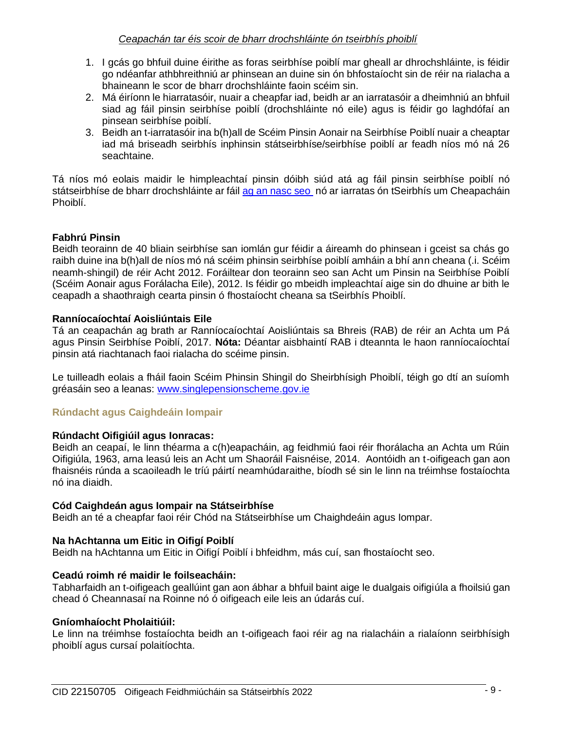# *Ceapachán tar éis scoir de bharr drochshláinte ón tseirbhís phoiblí*

- 1. I gcás go bhfuil duine éirithe as foras seirbhíse poiblí mar gheall ar dhrochshláinte, is féidir go ndéanfar athbhreithniú ar phinsean an duine sin ón bhfostaíocht sin de réir na rialacha a bhaineann le scor de bharr drochshláinte faoin scéim sin.
- 2. Má éiríonn le hiarratasóir, nuair a cheapfar iad, beidh ar an iarratasóir a dheimhniú an bhfuil siad ag fáil pinsin seirbhíse poiblí (drochshláinte nó eile) agus is féidir go laghdófaí an pinsean seirbhíse poiblí.
- 3. Beidh an t-iarratasóir ina b(h)all de Scéim Pinsin Aonair na Seirbhíse Poiblí nuair a cheaptar iad má briseadh seirbhís inphinsin státseirbhíse/seirbhíse poiblí ar feadh níos mó ná 26 seachtaine.

Tá níos mó eolais maidir le himpleachtaí pinsin dóibh siúd atá ag fáil pinsin seirbhíse poiblí nó státseirbhíse de bharr drochshláinte ar fáil [ag an nasc seo](https://hr.per.gov.ie/wp-content/uploads/2020/06/Ill-Health-Retirement-linked-document.pdf) nó ar iarratas ón tSeirbhís um Cheapacháin Phoiblí.

# **Fabhrú Pinsin**

Beidh teorainn de 40 bliain seirbhíse san iomlán gur féidir a áireamh do phinsean i gceist sa chás go raibh duine ina b(h)all de níos mó ná scéim phinsin seirbhíse poiblí amháin a bhí ann cheana (.i. Scéim neamh-shingil) de réir Acht 2012. Foráiltear don teorainn seo san Acht um Pinsin na Seirbhíse Poiblí (Scéim Aonair agus Forálacha Eile), 2012. Is féidir go mbeidh impleachtaí aige sin do dhuine ar bith le ceapadh a shaothraigh cearta pinsin ó fhostaíocht cheana sa tSeirbhís Phoiblí.

# **Ranníocaíochtaí Aoisliúntais Eile**

Tá an ceapachán ag brath ar Ranníocaíochtaí Aoisliúntais sa Bhreis (RAB) de réir an Achta um Pá agus Pinsin Seirbhíse Poiblí, 2017. **Nóta:** Déantar aisbhaintí RAB i dteannta le haon ranníocaíochtaí pinsin atá riachtanach faoi rialacha do scéime pinsin.

Le tuilleadh eolais a fháil faoin Scéim Phinsin Shingil do Sheirbhísigh Phoiblí, téigh go dtí an suíomh gréasáin seo a leanas: [www.singlepensionscheme.gov.ie](http://www.singlepensionscheme.gov.ie/)

# **Rúndacht agus Caighdeáin Iompair**

#### **Rúndacht Oifigiúil agus Ionracas:**

Beidh an ceapaí, le linn théarma a c(h)eapacháin, ag feidhmiú faoi réir fhorálacha an Achta um Rúin Oifigiúla, 1963, arna leasú leis an Acht um Shaoráil Faisnéise, 2014. Aontóidh an t-oifigeach gan aon fhaisnéis rúnda a scaoileadh le tríú páirtí neamhúdaraithe, bíodh sé sin le linn na tréimhse fostaíochta nó ina diaidh.

#### **Cód Caighdeán agus Iompair na Státseirbhíse**

Beidh an té a cheapfar faoi réir Chód na Státseirbhíse um Chaighdeáin agus Iompar.

#### **Na hAchtanna um Eitic in Oifigí Poiblí**

Beidh na hAchtanna um Eitic in Oifigí Poiblí i bhfeidhm, más cuí, san fhostaíocht seo.

#### **Ceadú roimh ré maidir le foilseacháin:**

Tabharfaidh an t-oifigeach geallúint gan aon ábhar a bhfuil baint aige le dualgais oifigiúla a fhoilsiú gan chead ó Cheannasaí na Roinne nó ó oifigeach eile leis an údarás cuí.

#### **Gníomhaíocht Pholaitiúil:**

Le linn na tréimhse fostaíochta beidh an t-oifigeach faoi réir ag na rialacháin a rialaíonn seirbhísigh phoiblí agus cursaí polaitíochta.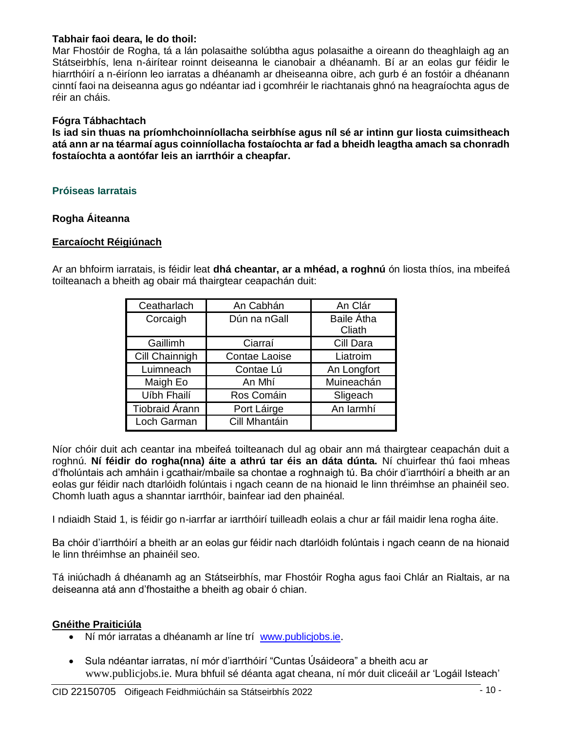# **Tabhair faoi deara, le do thoil:**

Mar Fhostóir de Rogha, tá a lán polasaithe solúbtha agus polasaithe a oireann do theaghlaigh ag an Státseirbhís, lena n-áirítear roinnt deiseanna le cianobair a dhéanamh. Bí ar an eolas gur féidir le hiarrthóirí a n-éiríonn leo iarratas a dhéanamh ar dheiseanna oibre, ach gurb é an fostóir a dhéanann cinntí faoi na deiseanna agus go ndéantar iad i gcomhréir le riachtanais ghnó na heagraíochta agus de réir an cháis.

#### **Fógra Tábhachtach**

**Is iad sin thuas na príomhchoinníollacha seirbhíse agus níl sé ar intinn gur liosta cuimsitheach atá ann ar na téarmaí agus coinníollacha fostaíochta ar fad a bheidh leagtha amach sa chonradh fostaíochta a aontófar leis an iarrthóir a cheapfar.**

# **Próiseas Iarratais**

### **Rogha Áiteanna**

#### **Earcaíocht Réigiúnach**

Ar an bhfoirm iarratais, is féidir leat **dhá cheantar, ar a mhéad, a roghnú** ón liosta thíos, ina mbeifeá toilteanach a bheith ag obair má thairgtear ceapachán duit:

| Ceatharlach           | An Cabhán     | An Clár                     |  |
|-----------------------|---------------|-----------------------------|--|
| Corcaigh              | Dún na nGall  | <b>Baile Átha</b><br>Cliath |  |
| Gaillimh              | Ciarraí       | Cill Dara                   |  |
| Cill Chainnigh        | Contae Laoise | Liatroim                    |  |
| Luimneach             | Contae Lú     | An Longfort                 |  |
| Maigh Eo              | An Mhí        | Muineachán                  |  |
| Uíbh Fhailí           | Ros Comáin    | Sligeach                    |  |
| <b>Tiobraid Árann</b> | Port Láirge   | An larmhí                   |  |
| Loch Garman           | Cill Mhantáin |                             |  |

Níor chóir duit ach ceantar ina mbeifeá toilteanach dul ag obair ann má thairgtear ceapachán duit a roghnú. **Ní féidir do rogha(nna) áite a athrú tar éis an dáta dúnta.** Ní chuirfear thú faoi mheas d'fholúntais ach amháin i gcathair/mbaile sa chontae a roghnaigh tú. Ba chóir d'iarrthóirí a bheith ar an eolas gur féidir nach dtarlóidh folúntais i ngach ceann de na hionaid le linn thréimhse an phainéil seo. Chomh luath agus a shanntar iarrthóir, bainfear iad den phainéal.

I ndiaidh Staid 1, is féidir go n-iarrfar ar iarrthóirí tuilleadh eolais a chur ar fáil maidir lena rogha áite.

Ba chóir d'iarrthóirí a bheith ar an eolas gur féidir nach dtarlóidh folúntais i ngach ceann de na hionaid le linn thréimhse an phainéil seo.

Tá iniúchadh á dhéanamh ag an Státseirbhís, mar Fhostóir Rogha agus faoi Chlár an Rialtais, ar na deiseanna atá ann d'fhostaithe a bheith ag obair ó chian.

#### **Gnéithe Praiticiúla**

- Ní mór iarratas a dhéanamh ar líne trí [www.publicjobs.ie](http://www.publicjobs.ie/).
- Sula ndéantar iarratas, ní mór d'iarrthóirí "Cuntas Úsáideora" a bheith acu ar [www.publicjobs.ie.](http://www.publicjobs.ie/) Mura bhfuil sé déanta agat cheana, ní mór duit cliceáil ar 'Logáil Isteach'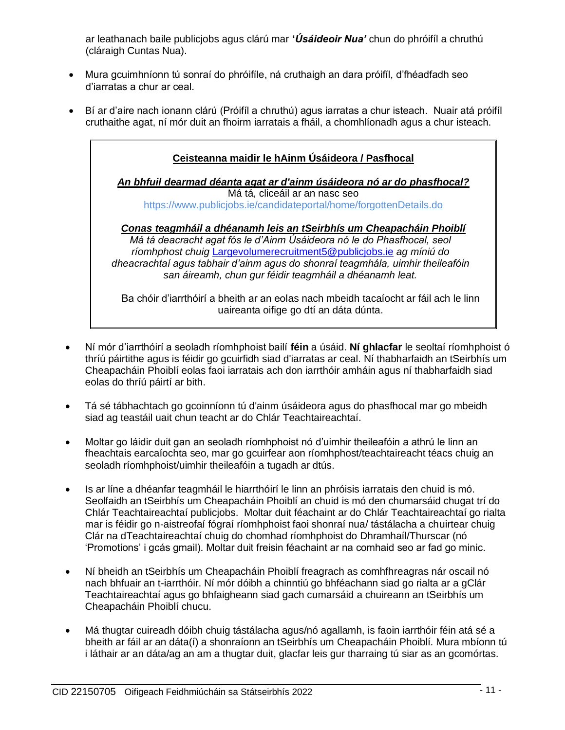ar leathanach baile publicjobs agus clárú mar **'***Úsáideoir Nua'* chun do phróifíl a chruthú (cláraigh Cuntas Nua).

- Mura gcuimhníonn tú sonraí do phróifíle, ná cruthaigh an dara próifíl, d'fhéadfadh seo d'iarratas a chur ar ceal.
- Bí ar d'aire nach ionann clárú (Próifíl a chruthú) agus iarratas a chur isteach. Nuair atá próifíl cruthaithe agat, ní mór duit an fhoirm iarratais a fháil, a chomhlíonadh agus a chur isteach.

| Ceisteanna maidir le hAinm Úsáideora / Pasfhocal                                                                                                                                                                                                                                                                                                                 |
|------------------------------------------------------------------------------------------------------------------------------------------------------------------------------------------------------------------------------------------------------------------------------------------------------------------------------------------------------------------|
| An bhfuil dearmad déanta agat ar d'ainm úsáideora nó ar do phasfhocal?                                                                                                                                                                                                                                                                                           |
| Má tá, cliceáil ar an nasc seo                                                                                                                                                                                                                                                                                                                                   |
| https://www.publicjobs.ie/candidateportal/home/forgottenDetails.do                                                                                                                                                                                                                                                                                               |
| Conas teagmháil a dhéanamh leis an tSeirbhís um Cheapacháin Phoiblí<br>Má tá deacracht agat fós le d'Ainm Úsáideora nó le do Phasfhocal, seol<br>ríomhphost chuig Largevolumerecruitment5@publicjobs.ie ag míniú do<br>dheacrachtaí agus tabhair d'ainm agus do shonraí teagmhála, uimhir theileafóin<br>san áireamh, chun gur féidir teagmháil a dhéanamh leat. |
| Ba chóir d'iarrthóirí a bheith ar an eolas nach mbeidh tacaíocht ar fáil ach le linn                                                                                                                                                                                                                                                                             |

uaireanta oifige go dtí an dáta dúnta.

- Ní mór d'iarrthóirí a seoladh ríomhphoist bailí **féin** a úsáid. **Ní ghlacfar** le seoltaí ríomhphoist ó thríú páirtithe agus is féidir go gcuirfidh siad d'iarratas ar ceal. Ní thabharfaidh an tSeirbhís um Cheapacháin Phoiblí eolas faoi iarratais ach don iarrthóir amháin agus ní thabharfaidh siad eolas do thríú páirtí ar bith.
- Tá sé tábhachtach go gcoinníonn tú d'ainm úsáideora agus do phasfhocal mar go mbeidh siad ag teastáil uait chun teacht ar do Chlár Teachtaireachtaí.
- Moltar go láidir duit gan an seoladh ríomhphoist nó d'uimhir theileafóin a athrú le linn an fheachtais earcaíochta seo, mar go gcuirfear aon ríomhphost/teachtaireacht téacs chuig an seoladh ríomhphoist/uimhir theileafóin a tugadh ar dtús.
- Is ar líne a dhéanfar teagmháil le hiarrthóirí le linn an phróisis iarratais den chuid is mó. Seolfaidh an tSeirbhís um Cheapacháin Phoiblí an chuid is mó den chumarsáid chugat trí do Chlár Teachtaireachtaí publicjobs. Moltar duit féachaint ar do Chlár Teachtaireachtaí go rialta mar is féidir go n-aistreofaí fógraí ríomhphoist faoi shonraí nua/ tástálacha a chuirtear chuig Clár na dTeachtaireachtaí chuig do chomhad ríomhphoist do Dhramhaíl/Thurscar (nó 'Promotions' i gcás gmail). Moltar duit freisin féachaint ar na comhaid seo ar fad go minic.
- Ní bheidh an tSeirbhís um Cheapacháin Phoiblí freagrach as comhfhreagras nár oscail nó nach bhfuair an t-iarrthóir. Ní mór dóibh a chinntiú go bhféachann siad go rialta ar a gClár Teachtaireachtaí agus go bhfaigheann siad gach cumarsáid a chuireann an tSeirbhís um Cheapacháin Phoiblí chucu.
- Má thugtar cuireadh dóibh chuig tástálacha agus/nó agallamh, is faoin iarrthóir féin atá sé a bheith ar fáil ar an dáta(í) a shonraíonn an tSeirbhís um Cheapacháin Phoiblí. Mura mbíonn tú i láthair ar an dáta/ag an am a thugtar duit, glacfar leis gur tharraing tú siar as an gcomórtas.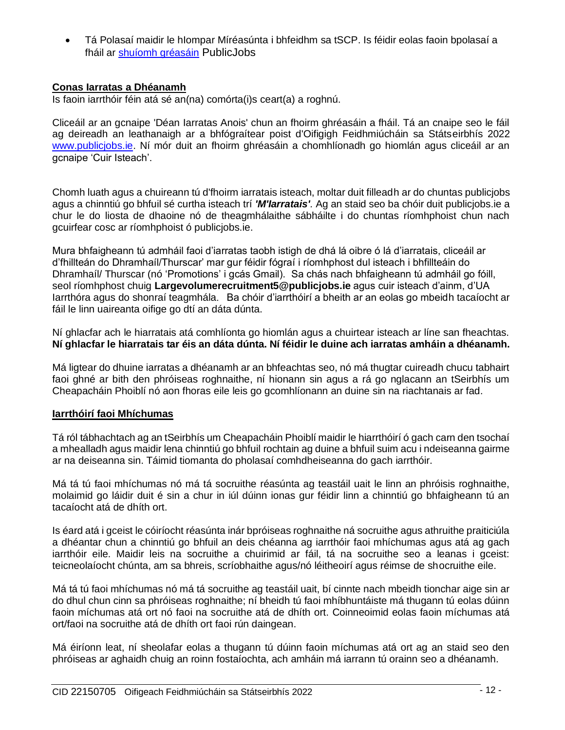• Tá Polasaí maidir le hIompar Míréasúnta i bhfeidhm sa tSCP. Is féidir eolas faoin bpolasaí a fháil ar [shuíomh gréasáin](https://www.publicjobs.ie/documents/Unreasonable_Conduct_Policy.pdf) PublicJobs

# **Conas Iarratas a Dhéanamh**

Is faoin iarrthóir féin atá sé an(na) comórta(i)s ceart(a) a roghnú.

Cliceáil ar an gcnaipe 'Déan Iarratas Anois' chun an fhoirm ghréasáin a fháil. Tá an cnaipe seo le fáil ag deireadh an leathanaigh ar a bhfógraítear poist d'Oifigigh Feidhmiúcháin sa Státseirbhís 2022 [www.publicjobs.ie.](http://www.publicjobs.ie/) Ní mór duit an fhoirm ghréasáin a chomhlíonadh go hiomlán agus cliceáil ar an gcnaipe 'Cuir Isteach'.

Chomh luath agus a chuireann tú d'fhoirm iarratais isteach, moltar duit filleadh ar do chuntas publicjobs agus a chinntiú go bhfuil sé curtha isteach trí *'M'Iarratais'.* Ag an staid seo ba chóir duit publicjobs.ie a chur le do liosta de dhaoine nó de theagmhálaithe sábháilte i do chuntas ríomhphoist chun nach gcuirfear cosc ar ríomhphoist ó publicjobs.ie.

Mura bhfaigheann tú admháil faoi d'iarratas taobh istigh de dhá lá oibre ó lá d'iarratais, cliceáil ar d'fhillteán do Dhramhaíl/Thurscar' mar gur féidir fógraí i ríomhphost dul isteach i bhfillteáin do Dhramhaíl/ Thurscar (nó 'Promotions' i gcás Gmail). Sa chás nach bhfaigheann tú admháil go fóill, seol ríomhphost chuig **Largevolumerecruitment5@publicjobs.ie** agus cuir isteach d'ainm, d'UA Iarrthóra agus do shonraí teagmhála. Ba chóir d'iarrthóirí a bheith ar an eolas go mbeidh tacaíocht ar fáil le linn uaireanta oifige go dtí an dáta dúnta.

Ní ghlacfar ach le hiarratais atá comhlíonta go hiomlán agus a chuirtear isteach ar líne san fheachtas. **Ní ghlacfar le hiarratais tar éis an dáta dúnta. Ní féidir le duine ach iarratas amháin a dhéanamh.** 

Má ligtear do dhuine iarratas a dhéanamh ar an bhfeachtas seo, nó má thugtar cuireadh chucu tabhairt faoi ghné ar bith den phróiseas roghnaithe, ní hionann sin agus a rá go nglacann an tSeirbhís um Cheapacháin Phoiblí nó aon fhoras eile leis go gcomhlíonann an duine sin na riachtanais ar fad.

# **Iarrthóirí faoi Mhíchumas**

Tá ról tábhachtach ag an tSeirbhís um Cheapacháin Phoiblí maidir le hiarrthóirí ó gach carn den tsochaí a mhealladh agus maidir lena chinntiú go bhfuil rochtain ag duine a bhfuil suim acu i ndeiseanna gairme ar na deiseanna sin. Táimid tiomanta do pholasaí comhdheiseanna do gach iarrthóir.

Má tá tú faoi mhíchumas nó má tá socruithe réasúnta ag teastáil uait le linn an phróisis roghnaithe, molaimid go láidir duit é sin a chur in iúl dúinn ionas gur féidir linn a chinntiú go bhfaigheann tú an tacaíocht atá de dhíth ort.

Is éard atá i gceist le cóiríocht réasúnta inár bpróiseas roghnaithe ná socruithe agus athruithe praiticiúla a dhéantar chun a chinntiú go bhfuil an deis chéanna ag iarrthóir faoi mhíchumas agus atá ag gach iarrthóir eile. Maidir leis na socruithe a chuirimid ar fáil, tá na socruithe seo a leanas i gceist: teicneolaíocht chúnta, am sa bhreis, scríobhaithe agus/nó léitheoirí agus réimse de shocruithe eile.

Má tá tú faoi mhíchumas nó má tá socruithe ag teastáil uait, bí cinnte nach mbeidh tionchar aige sin ar do dhul chun cinn sa phróiseas roghnaithe; ní bheidh tú faoi mhíbhuntáiste má thugann tú eolas dúinn faoin míchumas atá ort nó faoi na socruithe atá de dhíth ort. Coinneoimid eolas faoin míchumas atá ort/faoi na socruithe atá de dhíth ort faoi rún daingean.

Má éiríonn leat, ní sheolafar eolas a thugann tú dúinn faoin míchumas atá ort ag an staid seo den phróiseas ar aghaidh chuig an roinn fostaíochta, ach amháin má iarrann tú orainn seo a dhéanamh.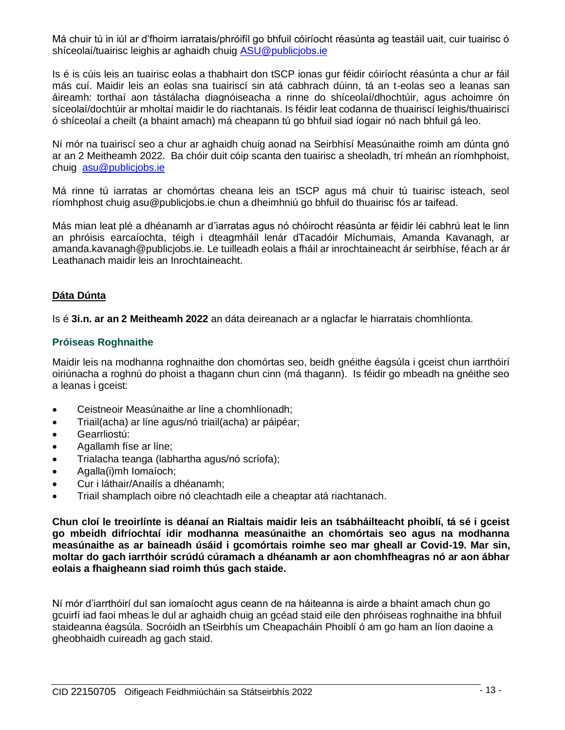Má chuir tú in iúl ar d'fhoirm iarratais/phróifíl go bhfuil cóiríocht réasúnta ag teastáil uait, cuir tuairisc ó shíceolaí/tuairisc leighis ar aghaidh chuig [ASU@publicjobs.ie](mailto:ASU@publicjobs.ie)

Is é is cúis leis an tuairisc eolas a thabhairt don tSCP ionas gur féidir cóiríocht réasúnta a chur ar fáil más cuí. Maidir leis an eolas sna tuairiscí sin atá cabhrach dúinn, tá an t-eolas seo a leanas san áireamh: torthaí aon tástálacha diagnóiseacha a rinne do shíceolaí/dhochtúir, agus achoimre ón síceolaí/dochtúir ar mholtaí maidir le do riachtanais. Is féidir leat codanna de thuairiscí leighis/thuairiscí ó shíceolaí a cheilt (a bhaint amach) má cheapann tú go bhfuil siad íogair nó nach bhfuil gá leo.

Ní mór na tuairiscí seo a chur ar aghaidh chuig aonad na Seirbhísí Measúnaithe roimh am dúnta gnó ar an 2 Meitheamh 2022. Ba chóir duit cóip scanta den tuairisc a sheoladh, trí mheán an ríomhphoist, chuig [asu@publicjobs.ie](mailto:asu@publicjobs.ie)

Má rinne tú iarratas ar chomórtas cheana leis an tSCP agus má chuir tú tuairisc isteach, seol ríomhphost chuig asu@publicjobs.ie chun a dheimhniú go bhfuil do thuairisc fós ar taifead.

Más mian leat plé a dhéanamh ar d'iarratas agus nó chóirocht réasúnta ar féidir léi cabhrú leat le linn an phróisis earcaíochta, téigh i dteagmháil lenár dTacadóir Míchumais, Amanda Kavanagh, ar amanda.kavanagh@publicjobs.ie. Le tuilleadh eolais a fháil ar inrochtaineacht ár seirbhíse, féach ar ár Leathanach maidir leis an Inrochtaineacht.

# **Dáta Dúnta**

Is é **3i.n. ar an 2 Meitheamh 2022** an dáta deireanach ar a nglacfar le hiarratais chomhlíonta.

# **Próiseas Roghnaithe**

Maidir leis na modhanna roghnaithe don chomórtas seo, beidh gnéithe éagsúla i gceist chun iarrthóirí oiriúnacha a roghnú do phoist a thagann chun cinn (má thagann). Is féidir go mbeadh na gnéithe seo a leanas i gceist:

- Ceistneoir Measúnaithe ar líne a chomhlíonadh;
- Triail(acha) ar líne agus/nó triail(acha) ar páipéar;
- Gearrliostú:
- Agallamh físe ar líne;
- Trialacha teanga (labhartha agus/nó scríofa);
- Agalla(i)mh Iomaíoch;
- Cur i láthair/Anailís a dhéanamh;
- Triail shamplach oibre nó cleachtadh eile a cheaptar atá riachtanach.

**Chun cloí le treoirlínte is déanaí an Rialtais maidir leis an tsábháilteacht phoiblí, tá sé i gceist go mbeidh difríochtaí idir modhanna measúnaithe an chomórtais seo agus na modhanna measúnaithe as ar baineadh úsáid i gcomórtais roimhe seo mar gheall ar Covid-19. Mar sin, moltar do gach iarrthóir scrúdú cúramach a dhéanamh ar aon chomhfheagras nó ar aon ábhar eolais a fhaigheann siad roimh thús gach staide.**

Ní mór d'iarrthóirí dul san iomaíocht agus ceann de na háiteanna is airde a bhaint amach chun go gcuirfí iad faoi mheas le dul ar aghaidh chuig an gcéad staid eile den phróiseas roghnaithe ina bhfuil staideanna éagsúla. Socróidh an tSeirbhís um Cheapacháin Phoiblí ó am go ham an líon daoine a gheobhaidh cuireadh ag gach staid.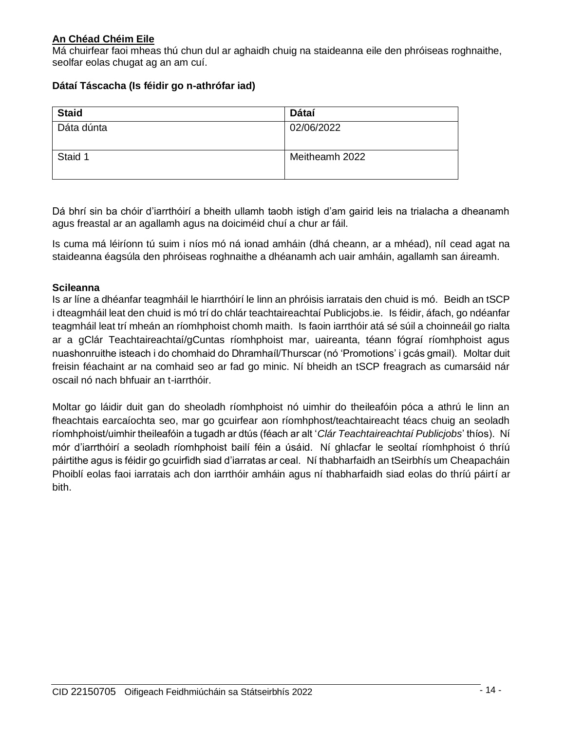# **An Chéad Chéim Eile**

Má chuirfear faoi mheas thú chun dul ar aghaidh chuig na staideanna eile den phróiseas roghnaithe, seolfar eolas chugat ag an am cuí.

# **Dátaí Táscacha (Is féidir go n-athrófar iad)**

| <b>Staid</b> | Dátaí          |
|--------------|----------------|
| Dáta dúnta   | 02/06/2022     |
| Staid 1      | Meitheamh 2022 |

Dá bhrí sin ba chóir d'iarrthóirí a bheith ullamh taobh istigh d'am gairid leis na trialacha a dheanamh agus freastal ar an agallamh agus na doiciméid chuí a chur ar fáil.

Is cuma má léiríonn tú suim i níos mó ná ionad amháin (dhá cheann, ar a mhéad), níl cead agat na staideanna éagsúla den phróiseas roghnaithe a dhéanamh ach uair amháin, agallamh san áireamh.

# **Scileanna**

Is ar líne a dhéanfar teagmháil le hiarrthóirí le linn an phróisis iarratais den chuid is mó. Beidh an tSCP i dteagmháil leat den chuid is mó trí do chlár teachtaireachtaí Publicjobs.ie. Is féidir, áfach, go ndéanfar teagmháil leat trí mheán an ríomhphoist chomh maith. Is faoin iarrthóir atá sé súil a choinneáil go rialta ar a gClár Teachtaireachtaí/gCuntas ríomhphoist mar, uaireanta, téann fógraí ríomhphoist agus nuashonruithe isteach i do chomhaid do Dhramhaíl/Thurscar (nó 'Promotions' i gcás gmail). Moltar duit freisin féachaint ar na comhaid seo ar fad go minic. Ní bheidh an tSCP freagrach as cumarsáid nár oscail nó nach bhfuair an t-iarrthóir.

Moltar go láidir duit gan do sheoladh ríomhphoist nó uimhir do theileafóin póca a athrú le linn an fheachtais earcaíochta seo, mar go gcuirfear aon ríomhphost/teachtaireacht téacs chuig an seoladh ríomhphoist/uimhir theileafóin a tugadh ar dtús (féach ar alt '*Clár Teachtaireachtaí Publicjobs*' thíos). Ní mór d'iarrthóirí a seoladh ríomhphoist bailí féin a úsáid. Ní ghlacfar le seoltaí ríomhphoist ó thríú páirtithe agus is féidir go gcuirfidh siad d'iarratas ar ceal. Ní thabharfaidh an tSeirbhís um Cheapacháin Phoiblí eolas faoi iarratais ach don iarrthóir amháin agus ní thabharfaidh siad eolas do thríú páirtí ar bith.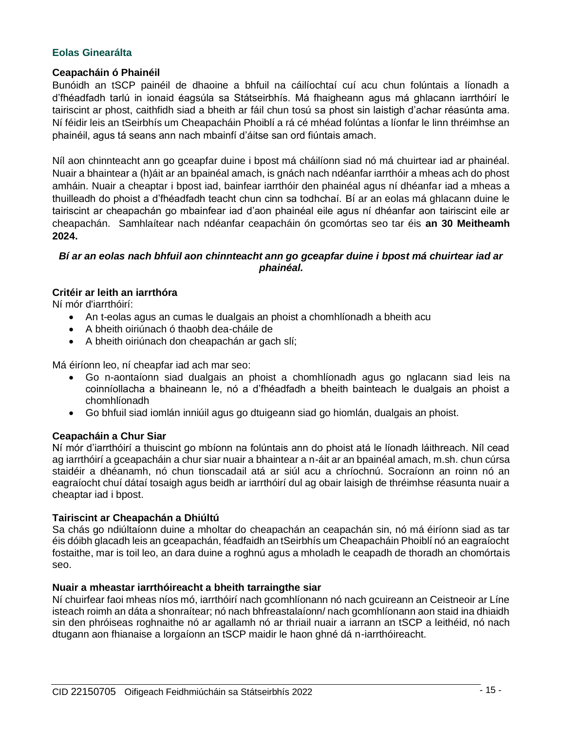# **Eolas Ginearálta**

#### **Ceapacháin ó Phainéil**

Bunóidh an tSCP painéil de dhaoine a bhfuil na cáilíochtaí cuí acu chun folúntais a líonadh a d'fhéadfadh tarlú in ionaid éagsúla sa Státseirbhís. Má fhaigheann agus má ghlacann iarrthóirí le tairiscint ar phost, caithfidh siad a bheith ar fáil chun tosú sa phost sin laistigh d'achar réasúnta ama. Ní féidir leis an tSeirbhís um Cheapacháin Phoiblí a rá cé mhéad folúntas a líonfar le linn thréimhse an phainéil, agus tá seans ann nach mbainfí d'áitse san ord fiúntais amach.

Níl aon chinnteacht ann go gceapfar duine i bpost má cháilíonn siad nó má chuirtear iad ar phainéal. Nuair a bhaintear a (h)áit ar an bpainéal amach, is gnách nach ndéanfar iarrthóir a mheas ach do phost amháin. Nuair a cheaptar i bpost iad, bainfear iarrthóir den phainéal agus ní dhéanfar iad a mheas a thuilleadh do phoist a d'fhéadfadh teacht chun cinn sa todhchaí. Bí ar an eolas má ghlacann duine le tairiscint ar cheapachán go mbainfear iad d'aon phainéal eile agus ní dhéanfar aon tairiscint eile ar cheapachán. Samhlaítear nach ndéanfar ceapacháin ón gcomórtas seo tar éis **an 30 Meitheamh 2024.**

# *Bí ar an eolas nach bhfuil aon chinnteacht ann go gceapfar duine i bpost má chuirtear iad ar phainéal.*

# **Critéir ar leith an iarrthóra**

Ní mór d'iarrthóirí:

- An t-eolas agus an cumas le dualgais an phoist a chomhlíonadh a bheith acu
- A bheith oiriúnach ó thaobh dea-cháile de
- A bheith oiriúnach don cheapachán ar gach slí;

Má éiríonn leo, ní cheapfar iad ach mar seo:

- Go n-aontaíonn siad dualgais an phoist a chomhlíonadh agus go nglacann siad leis na coinníollacha a bhaineann le, nó a d'fhéadfadh a bheith bainteach le dualgais an phoist a chomhlíonadh
- Go bhfuil siad iomlán inniúil agus go dtuigeann siad go hiomlán, dualgais an phoist.

#### **Ceapacháin a Chur Siar**

Ní mór d'iarrthóirí a thuiscint go mbíonn na folúntais ann do phoist atá le líonadh láithreach. Níl cead ag iarrthóirí a gceapacháin a chur siar nuair a bhaintear a n-áit ar an bpainéal amach, m.sh. chun cúrsa staidéir a dhéanamh, nó chun tionscadail atá ar siúl acu a chríochnú. Socraíonn an roinn nó an eagraíocht chuí dátaí tosaigh agus beidh ar iarrthóirí dul ag obair laisigh de thréimhse réasunta nuair a cheaptar iad i bpost.

#### **Tairiscint ar Cheapachán a Dhiúltú**

Sa chás go ndiúltaíonn duine a mholtar do cheapachán an ceapachán sin, nó má éiríonn siad as tar éis dóibh glacadh leis an gceapachán, féadfaidh an tSeirbhís um Cheapacháin Phoiblí nó an eagraíocht fostaithe, mar is toil leo, an dara duine a roghnú agus a mholadh le ceapadh de thoradh an chomórtais seo.

#### **Nuair a mheastar iarrthóireacht a bheith tarraingthe siar**

Ní chuirfear faoi mheas níos mó, iarrthóirí nach gcomhlíonann nó nach gcuireann an Ceistneoir ar Líne isteach roimh an dáta a shonraítear; nó nach bhfreastalaíonn/ nach gcomhlíonann aon staid ina dhiaidh sin den phróiseas roghnaithe nó ar agallamh nó ar thriail nuair a iarrann an tSCP a leithéid, nó nach dtugann aon fhianaise a lorgaíonn an tSCP maidir le haon ghné dá n-iarrthóireacht.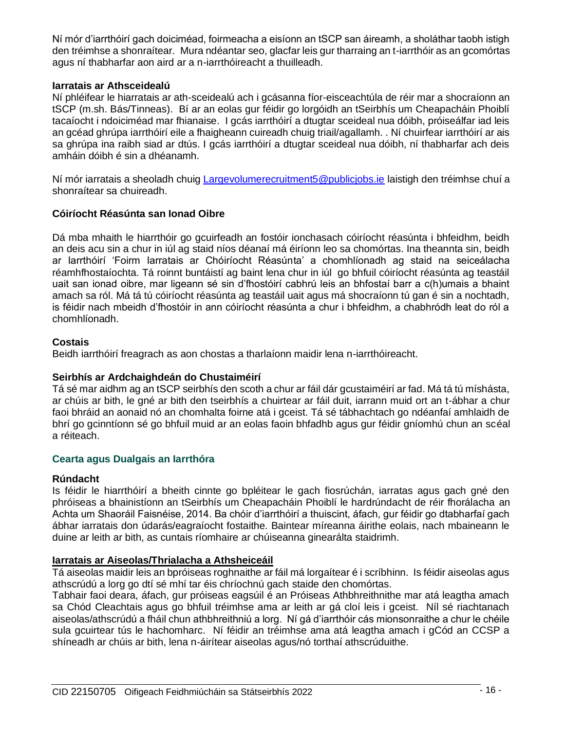Ní mór d'iarrthóirí gach doiciméad, foirmeacha a eisíonn an tSCP san áireamh, a sholáthar taobh istigh den tréimhse a shonraítear. Mura ndéantar seo, glacfar leis gur tharraing an t-iarrthóir as an gcomórtas agus ní thabharfar aon aird ar a n-iarrthóireacht a thuilleadh.

# **Iarratais ar Athsceidealú**

Ní phléifear le hiarratais ar ath-sceidealú ach i gcásanna fíor-eisceachtúla de réir mar a shocraíonn an tSCP (m.sh. Bás/Tinneas). Bí ar an eolas gur féidir go lorgóidh an tSeirbhís um Cheapacháin Phoiblí tacaíocht i ndoiciméad mar fhianaise. I gcás iarrthóirí a dtugtar sceideal nua dóibh, próiseálfar iad leis an gcéad ghrúpa iarrthóirí eile a fhaigheann cuireadh chuig triail/agallamh. . Ní chuirfear iarrthóirí ar ais sa ghrúpa ina raibh siad ar dtús. I gcás iarrthóirí a dtugtar sceideal nua dóibh, ní thabharfar ach deis amháin dóibh é sin a dhéanamh.

Ní mór iarratais a sheoladh chuig [Largevolumerecruitment5@publicjobs.ie](mailto:Largevolumerecruitment5@publicjobs.ie) laistigh den tréimhse chuí a shonraítear sa chuireadh.

# **Cóiríocht Réasúnta san Ionad Oibre**

Dá mba mhaith le hiarrthóir go gcuirfeadh an fostóir ionchasach cóiríocht réasúnta i bhfeidhm, beidh an deis acu sin a chur in iúl ag staid níos déanaí má éiríonn leo sa chomórtas. Ina theannta sin, beidh ar Iarrthóirí 'Foirm Iarratais ar Chóiríocht Réasúnta' a chomhlíonadh ag staid na seiceálacha réamhfhostaíochta. Tá roinnt buntáistí ag baint lena chur in iúl go bhfuil cóiríocht réasúnta ag teastáil uait san ionad oibre, mar ligeann sé sin d'fhostóirí cabhrú leis an bhfostaí barr a c(h)umais a bhaint amach sa ról. Má tá tú cóiríocht réasúnta ag teastáil uait agus má shocraíonn tú gan é sin a nochtadh, is féidir nach mbeidh d'fhostóir in ann cóiríocht réasúnta a chur i bhfeidhm, a chabhródh leat do ról a chomhlíonadh.

# **Costais**

Beidh iarrthóirí freagrach as aon chostas a tharlaíonn maidir lena n-iarrthóireacht.

# **Seirbhís ar Ardchaighdeán do Chustaiméirí**

Tá sé mar aidhm ag an tSCP seirbhís den scoth a chur ar fáil dár gcustaiméirí ar fad. Má tá tú míshásta, ar chúis ar bith, le gné ar bith den tseirbhís a chuirtear ar fáil duit, iarrann muid ort an t-ábhar a chur faoi bhráid an aonaid nó an chomhalta foirne atá i gceist. Tá sé tábhachtach go ndéanfaí amhlaidh de bhrí go gcinntíonn sé go bhfuil muid ar an eolas faoin bhfadhb agus gur féidir gníomhú chun an scéal a réiteach.

# **Cearta agus Dualgais an Iarrthóra**

# **Rúndacht**

Is féidir le hiarrthóirí a bheith cinnte go bpléitear le gach fiosrúchán, iarratas agus gach gné den phróiseas a bhainistíonn an tSeirbhís um Cheapacháin Phoiblí le hardrúndacht de réir fhorálacha an Achta um Shaoráil Faisnéise, 2014. Ba chóir d'iarrthóirí a thuiscint, áfach, gur féidir go dtabharfaí gach ábhar iarratais don údarás/eagraíocht fostaithe. Baintear míreanna áirithe eolais, nach mbaineann le duine ar leith ar bith, as cuntais ríomhaire ar chúiseanna ginearálta staidrimh.

# **Iarratais ar Aiseolas/Thrialacha a Athsheiceáil**

Tá aiseolas maidir leis an bpróiseas roghnaithe ar fáil má lorgaítear é i scríbhinn. Is féidir aiseolas agus athscrúdú a lorg go dtí sé mhí tar éis chríochnú gach staide den chomórtas.

Tabhair faoi deara, áfach, gur próiseas eagsúil é an Próiseas Athbhreithnithe mar atá leagtha amach sa Chód Cleachtais agus go bhfuil tréimhse ama ar leith ar gá cloí leis i gceist. Níl sé riachtanach aiseolas/athscrúdú a fháil chun athbhreithniú a lorg. Ní gá d'iarrthóir cás mionsonraithe a chur le chéile sula gcuirtear tús le hachomharc. Ní féidir an tréimhse ama atá leagtha amach i gCód an CCSP a shíneadh ar chúis ar bith, lena n-áirítear aiseolas agus/nó torthaí athscrúduithe.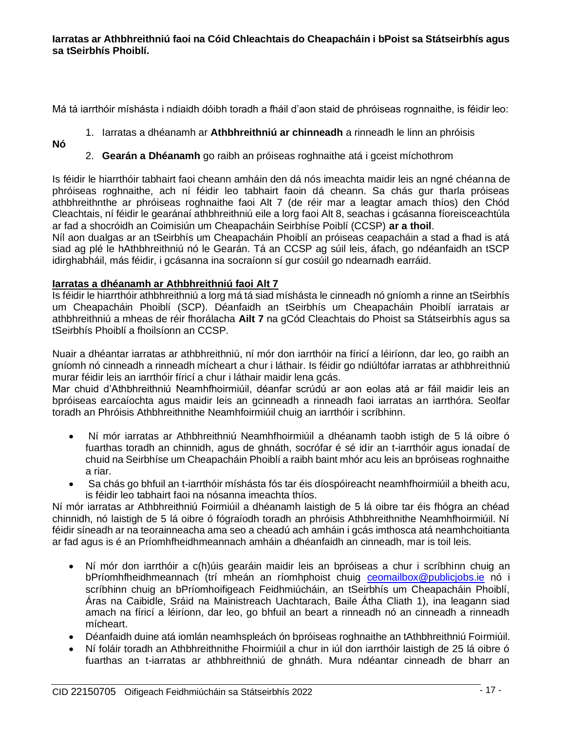Má tá iarrthóir míshásta i ndiaidh dóibh toradh a fháil d'aon staid de phróiseas rognnaithe, is féidir leo:

- 1. Iarratas a dhéanamh ar **Athbhreithniú ar chinneadh** a rinneadh le linn an phróisis
- **Nó**
- 2. **Gearán a Dhéanamh** go raibh an próiseas roghnaithe atá i gceist míchothrom

Is féidir le hiarrthóir tabhairt faoi cheann amháin den dá nós imeachta maidir leis an ngné chéanna de phróiseas roghnaithe, ach ní féidir leo tabhairt faoin dá cheann. Sa chás gur tharla próiseas athbhreithnthe ar phróiseas roghnaithe faoi Alt 7 (de réir mar a leagtar amach thíos) den Chód Cleachtais, ní féidir le gearánaí athbhreithniú eile a lorg faoi Alt 8, seachas i gcásanna fíoreisceachtúla ar fad a shocróidh an Coimisiún um Cheapacháin Seirbhíse Poiblí (CCSP) **ar a thoil**.

Níl aon dualgas ar an tSeirbhís um Cheapacháin Phoiblí an próiseas ceapacháin a stad a fhad is atá siad ag plé le hAthbhreithniú nó le Gearán. Tá an CCSP ag súil leis, áfach, go ndéanfaidh an tSCP idirghabháil, más féidir, i gcásanna ina socraíonn sí gur cosúil go ndearnadh earráid.

# **Iarratas a dhéanamh ar Athbhreithniú faoi Alt 7**

Is féidir le hiarrthóir athbhreithniú a lorg má tá siad míshásta le cinneadh nó gníomh a rinne an tSeirbhís um Cheapacháin Phoiblí (SCP). Déanfaidh an tSeirbhís um Cheapacháin Phoiblí iarratais ar athbhreithniú a mheas de réir fhorálacha **Ailt 7** na gCód Cleachtais do Phoist sa Státseirbhís agus sa tSeirbhís Phoiblí a fhoilsíonn an CCSP.

Nuair a dhéantar iarratas ar athbhreithniú, ní mór don iarrthóir na fíricí a léiríonn, dar leo, go raibh an gníomh nó cinneadh a rinneadh mícheart a chur i láthair. Is féidir go ndiúltófar iarratas ar athbhreithniú murar féidir leis an iarrthóir fíricí a chur i láthair maidir lena gcás.

Mar chuid d'Athbhreithniú Neamhfhoirmiúil, déanfar scrúdú ar aon eolas atá ar fáil maidir leis an bpróiseas earcaíochta agus maidir leis an gcinneadh a rinneadh faoi iarratas an iarrthóra. Seolfar toradh an Phróisis Athbhreithnithe Neamhfoirmiúil chuig an iarrthóir i scríbhinn.

- Ní mór iarratas ar Athbhreithniú Neamhfhoirmiúil a dhéanamh taobh istigh de 5 lá oibre ó fuarthas toradh an chinnidh, agus de ghnáth, socrófar é sé idir an t-iarrthóir agus ionadaí de chuid na Seirbhíse um Cheapacháin Phoiblí a raibh baint mhór acu leis an bpróiseas roghnaithe a riar.
- Sa chás go bhfuil an t-iarrthóir míshásta fós tar éis díospóireacht neamhfhoirmiúil a bheith acu, is féidir leo tabhairt faoi na nósanna imeachta thíos.

Ní mór iarratas ar Athbhreithniú Foirmiúil a dhéanamh laistigh de 5 lá oibre tar éis fhógra an chéad chinnidh, nó laistigh de 5 lá oibre ó fógraíodh toradh an phróisis Athbhreithnithe Neamhfhoirmiúil. Ní féidir síneadh ar na teorainneacha ama seo a cheadú ach amháin i gcás imthosca atá neamhchoitianta ar fad agus is é an Príomhfheidhmeannach amháin a dhéanfaidh an cinneadh, mar is toil leis.

- Ní mór don iarrthóir a c(h)úis gearáin maidir leis an bpróiseas a chur i scríbhinn chuig an bPríomhfheidhmeannach (trí mheán an ríomhphoist chuig [ceomailbox@publicjobs.ie](mailto:ceomailbox@publicjobs.ie) nó i scríbhinn chuig an bPríomhoifigeach Feidhmiúcháin, an tSeirbhís um Cheapacháin Phoiblí, Áras na Caibidle, Sráid na Mainistreach Uachtarach, Baile Átha Cliath 1), ina leagann siad amach na fíricí a léiríonn, dar leo, go bhfuil an beart a rinneadh nó an cinneadh a rinneadh mícheart.
- Déanfaidh duine atá iomlán neamhspleách ón bpróiseas roghnaithe an tAthbhreithniú Foirmiúil.
- Ní foláir toradh an Athbhreithnithe Fhoirmiúil a chur in iúl don iarrthóir laistigh de 25 lá oibre ó fuarthas an t-iarratas ar athbhreithniú de ghnáth. Mura ndéantar cinneadh de bharr an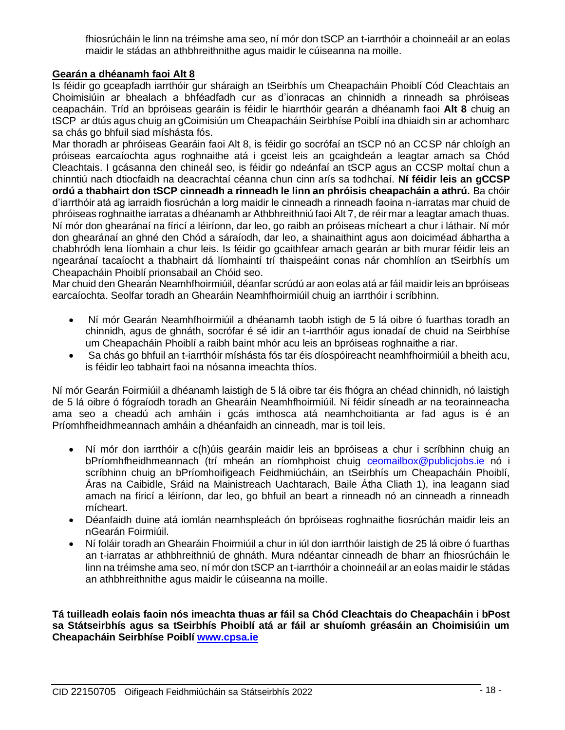fhiosrúcháin le linn na tréimshe ama seo, ní mór don tSCP an t-iarrthóir a choinneáil ar an eolas maidir le stádas an athbhreithnithe agus maidir le cúiseanna na moille.

# **Gearán a dhéanamh faoi Alt 8**

Is féidir go gceapfadh iarrthóir gur sháraigh an tSeirbhís um Cheapacháin Phoiblí Cód Cleachtais an Choimisiúin ar bhealach a bhféadfadh cur as d'ionracas an chinnidh a rinneadh sa phróiseas ceapacháin. Tríd an bpróiseas gearáin is féidir le hiarrthóir gearán a dhéanamh faoi **Alt 8** chuig an tSCP ar dtús agus chuig an gCoimisiún um Cheapacháin Seirbhíse Poiblí ina dhiaidh sin ar achomharc sa chás go bhfuil siad míshásta fós.

Mar thoradh ar phróiseas Gearáin faoi Alt 8, is féidir go socrófaí an tSCP nó an CCSP nár chloígh an próiseas earcaíochta agus roghnaithe atá i gceist leis an gcaighdeán a leagtar amach sa Chód Cleachtais. I gcásanna den chineál seo, is féidir go ndeánfaí an tSCP agus an CCSP moltaí chun a chinntiú nach dtiocfaidh na deacrachtaí céanna chun cinn arís sa todhchaí. **Ní féidir leis an gCCSP ordú a thabhairt don tSCP cinneadh a rinneadh le linn an phróisis cheapacháin a athrú.** Ba chóir d'iarrthóir atá ag iarraidh fiosrúchán a lorg maidir le cinneadh a rinneadh faoina n-iarratas mar chuid de phróiseas roghnaithe iarratas a dhéanamh ar Athbhreithniú faoi Alt 7, de réir mar a leagtar amach thuas. Ní mór don ghearánaí na fíricí a léiríonn, dar leo, go raibh an próiseas mícheart a chur i láthair. Ní mór don ghearánaí an ghné den Chód a sáraíodh, dar leo, a shainaithint agus aon doiciméad ábhartha a chabhródh lena líomhain a chur leis. Is féidir go gcaithfear amach gearán ar bith murar féidir leis an ngearánaí tacaíocht a thabhairt dá líomhaintí trí thaispeáint conas nár chomhlíon an tSeirbhís um Cheapacháin Phoiblí prionsabail an Chóid seo.

Mar chuid den Ghearán Neamhfhoirmiúil, déanfar scrúdú ar aon eolas atá ar fáil maidir leis an bpróiseas earcaíochta. Seolfar toradh an Ghearáin Neamhfhoirmiúil chuig an iarrthóir i scríbhinn.

- Ní mór Gearán Neamhfhoirmiúil a dhéanamh taobh istigh de 5 lá oibre ó fuarthas toradh an chinnidh, agus de ghnáth, socrófar é sé idir an t-iarrthóir agus ionadaí de chuid na Seirbhíse um Cheapacháin Phoiblí a raibh baint mhór acu leis an bpróiseas roghnaithe a riar.
- Sa chás go bhfuil an t-iarrthóir míshásta fós tar éis díospóireacht neamhfhoirmiúil a bheith acu, is féidir leo tabhairt faoi na nósanna imeachta thíos.

Ní mór Gearán Foirmiúil a dhéanamh laistigh de 5 lá oibre tar éis fhógra an chéad chinnidh, nó laistigh de 5 lá oibre ó fógraíodh toradh an Ghearáin Neamhfhoirmiúil. Ní féidir síneadh ar na teorainneacha ama seo a cheadú ach amháin i gcás imthosca atá neamhchoitianta ar fad agus is é an Príomhfheidhmeannach amháin a dhéanfaidh an cinneadh, mar is toil leis.

- Ní mór don iarrthóir a c(h)úis gearáin maidir leis an bpróiseas a chur i scríbhinn chuig an bPríomhfheidhmeannach (trí mheán an ríomhphoist chuig [ceomailbox@publicjobs.ie](mailto:ceomailbox@publicjobs.ie) nó i scríbhinn chuig an bPríomhoifigeach Feidhmiúcháin, an tSeirbhís um Cheapacháin Phoiblí, Áras na Caibidle, Sráid na Mainistreach Uachtarach, Baile Átha Cliath 1), ina leagann siad amach na fíricí a léiríonn, dar leo, go bhfuil an beart a rinneadh nó an cinneadh a rinneadh mícheart.
- Déanfaidh duine atá iomlán neamhspleách ón bpróiseas roghnaithe fiosrúchán maidir leis an nGearán Foirmiúil.
- Ní foláir toradh an Ghearáin Fhoirmiúil a chur in iúl don iarrthóir laistigh de 25 lá oibre ó fuarthas an t-iarratas ar athbhreithniú de ghnáth. Mura ndéantar cinneadh de bharr an fhiosrúcháin le linn na tréimshe ama seo, ní mór don tSCP an t-iarrthóir a choinneáil ar an eolas maidir le stádas an athbhreithnithe agus maidir le cúiseanna na moille.

**Tá tuilleadh eolais faoin nós imeachta thuas ar fáil sa Chód Cleachtais do Cheapacháin i bPost sa Státseirbhís agus sa tSeirbhís Phoiblí atá ar fáil ar shuíomh gréasáin an Choimisiúin um Cheapacháin Seirbhíse Poiblí [www.cpsa.ie](http://www.cpsa.ie/)**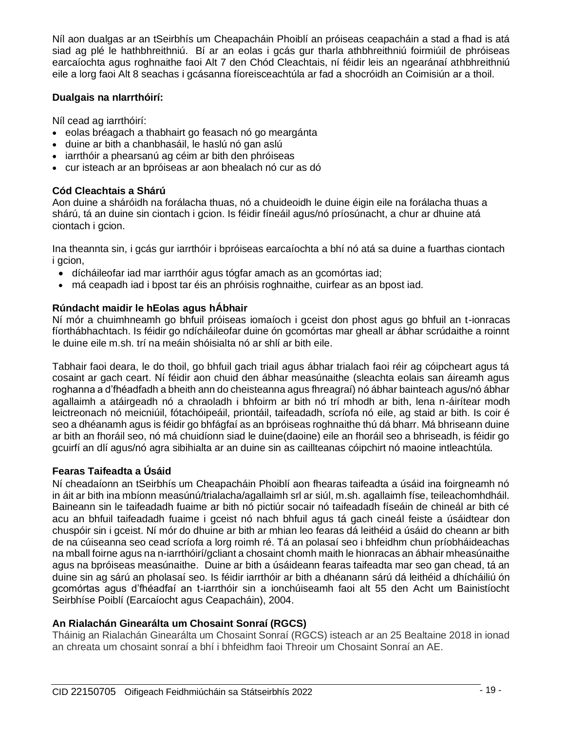Níl aon dualgas ar an tSeirbhís um Cheapacháin Phoiblí an próiseas ceapacháin a stad a fhad is atá siad ag plé le hathbhreithniú. Bí ar an eolas i gcás gur tharla athbhreithniú foirmiúil de phróiseas earcaíochta agus roghnaithe faoi Alt 7 den Chód Cleachtais, ní féidir leis an ngearánaí athbhreithniú eile a lorg faoi Alt 8 seachas i gcásanna fíoreisceachtúla ar fad a shocróidh an Coimisiún ar a thoil.

# **Dualgais na nIarrthóirí:**

Níl cead ag iarrthóirí:

- eolas bréagach a thabhairt go feasach nó go meargánta
- duine ar bith a chanbhasáil, le haslú nó gan aslú
- iarrthóir a phearsanú ag céim ar bith den phróiseas
- cur isteach ar an bpróiseas ar aon bhealach nó cur as dó

# **Cód Cleachtais a Shárú**

Aon duine a sháróidh na forálacha thuas, nó a chuideoidh le duine éigin eile na forálacha thuas a shárú, tá an duine sin ciontach i gcion. Is féidir fíneáil agus/nó príosúnacht, a chur ar dhuine atá ciontach i gcion.

Ina theannta sin, i gcás gur iarrthóir i bpróiseas earcaíochta a bhí nó atá sa duine a fuarthas ciontach i acion.

- dícháileofar iad mar iarrthóir agus tógfar amach as an gcomórtas iad;
- má ceapadh iad i bpost tar éis an phróisis roghnaithe, cuirfear as an bpost iad.

# **Rúndacht maidir le hEolas agus hÁbhair**

Ní mór a chuimhneamh go bhfuil próiseas iomaíoch i gceist don phost agus go bhfuil an t-ionracas fíorthábhachtach. Is féidir go ndícháileofar duine ón gcomórtas mar gheall ar ábhar scrúdaithe a roinnt le duine eile m.sh. trí na meáin shóisialta nó ar shlí ar bith eile.

Tabhair faoi deara, le do thoil, go bhfuil gach triail agus ábhar trialach faoi réir ag cóipcheart agus tá cosaint ar gach ceart. Ní féidir aon chuid den ábhar measúnaithe (sleachta eolais san áireamh agus roghanna a d'fhéadfadh a bheith ann do cheisteanna agus fhreagraí) nó ábhar bainteach agus/nó ábhar agallaimh a atáirgeadh nó a chraoladh i bhfoirm ar bith nó trí mhodh ar bith, lena n-áirítear modh leictreonach nó meicniúil, fótachóipeáil, priontáil, taifeadadh, scríofa nó eile, ag staid ar bith. Is coir é seo a dhéanamh agus is féidir go bhfágfaí as an bpróiseas roghnaithe thú dá bharr. Má bhriseann duine ar bith an fhoráil seo, nó má chuidíonn siad le duine(daoine) eile an fhoráil seo a bhriseadh, is féidir go gcuirfí an dlí agus/nó agra sibihialta ar an duine sin as caillteanas cóipchirt nó maoine intleachtúla.

# **Fearas Taifeadta a Úsáid**

Ní cheadaíonn an tSeirbhís um Cheapacháin Phoiblí aon fhearas taifeadta a úsáid ina foirgneamh nó in áit ar bith ina mbíonn measúnú/trialacha/agallaimh srl ar siúl, m.sh. agallaimh físe, teileachomhdháil. Baineann sin le taifeadadh fuaime ar bith nó pictiúr socair nó taifeadadh físeáin de chineál ar bith cé acu an bhfuil taifeadadh fuaime i gceist nó nach bhfuil agus tá gach cineál feiste a úsáidtear don chuspóir sin i gceist. Ní mór do dhuine ar bith ar mhian leo fearas dá leithéid a úsáid do cheann ar bith de na cúiseanna seo cead scríofa a lorg roimh ré. Tá an polasaí seo i bhfeidhm chun príobháideachas na mball foirne agus na n-iarrthóirí/gcliant a chosaint chomh maith le hionracas an ábhair mheasúnaithe agus na bpróiseas measúnaithe. Duine ar bith a úsáideann fearas taifeadta mar seo gan chead, tá an duine sin ag sárú an pholasaí seo. Is féidir iarrthóir ar bith a dhéanann sárú dá leithéid a dhícháiliú ón gcomórtas agus d'fhéadfaí an t-iarrthóir sin a ionchúiseamh faoi alt 55 den Acht um Bainistíocht Seirbhíse Poiblí (Earcaíocht agus Ceapacháin), 2004.

# **An Rialachán Ginearálta um Chosaint Sonraí (RGCS)**

Tháinig an Rialachán Ginearálta um Chosaint Sonraí (RGCS) isteach ar an 25 Bealtaine 2018 in ionad an chreata um chosaint sonraí a bhí i bhfeidhm faoi Threoir um Chosaint Sonraí an AE.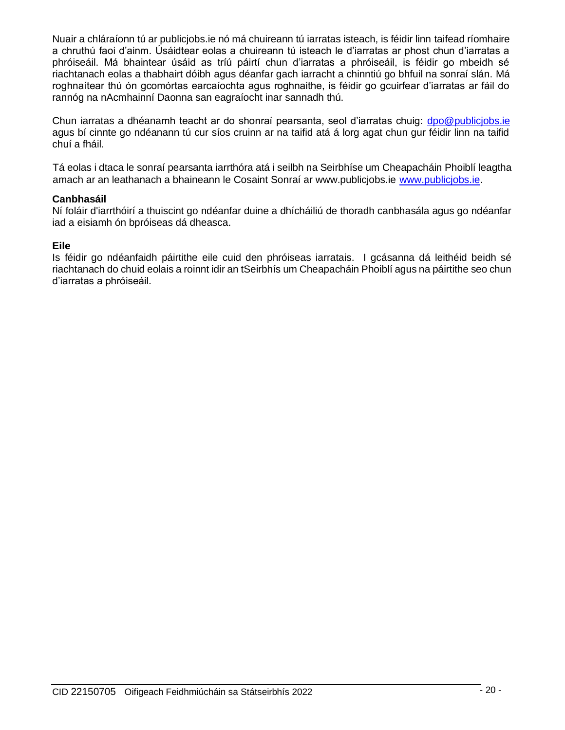Nuair a chláraíonn tú ar publicjobs.ie nó má chuireann tú iarratas isteach, is féidir linn taifead ríomhaire a chruthú faoi d'ainm. Úsáidtear eolas a chuireann tú isteach le d'iarratas ar phost chun d'iarratas a phróiseáil. Má bhaintear úsáid as tríú páirtí chun d'iarratas a phróiseáil, is féidir go mbeidh sé riachtanach eolas a thabhairt dóibh agus déanfar gach iarracht a chinntiú go bhfuil na sonraí slán. Má roghnaítear thú ón gcomórtas earcaíochta agus roghnaithe, is féidir go gcuirfear d'iarratas ar fáil do rannóg na nAcmhainní Daonna san eagraíocht inar sannadh thú.

Chun iarratas a dhéanamh teacht ar do shonraí pearsanta, seol d'iarratas chuig: [dpo@publicjobs.ie](mailto:dpo@publicjobs.ie)  agus bí cinnte go ndéanann tú cur síos cruinn ar na taifid atá á lorg agat chun gur féidir linn na taifid chuí a fháil.

Tá eolas i dtaca le sonraí pearsanta iarrthóra atá i seilbh na Seirbhíse um Cheapacháin Phoiblí leagtha amach ar an leathanach a bhaineann le Cosaint Sonraí ar www.publicjobs.ie [www.publicjobs.ie.](http://www.publicjobs.ie/)

#### **Canbhasáil**

Ní foláir d'iarrthóirí a thuiscint go ndéanfar duine a dhícháiliú de thoradh canbhasála agus go ndéanfar iad a eisiamh ón bpróiseas dá dheasca.

#### **Eile**

Is féidir go ndéanfaidh páirtithe eile cuid den phróiseas iarratais. I gcásanna dá leithéid beidh sé riachtanach do chuid eolais a roinnt idir an tSeirbhís um Cheapacháin Phoiblí agus na páirtithe seo chun d'iarratas a phróiseáil.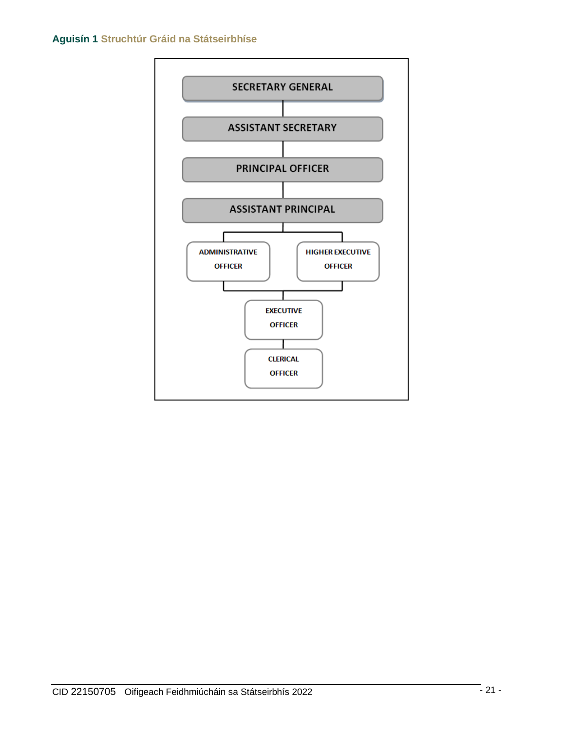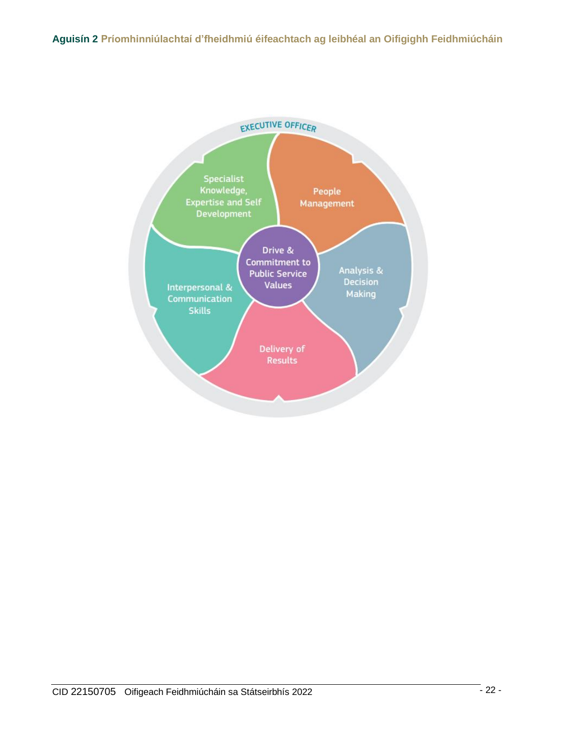